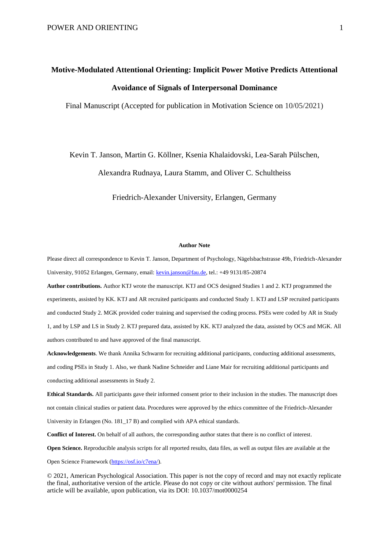# **Motive-Modulated Attentional Orienting: Implicit Power Motive Predicts Attentional Avoidance of Signals of Interpersonal Dominance**

Final Manuscript (Accepted for publication in Motivation Science on 10/05/2021)

Kevin T. Janson, Martin G. Köllner, Ksenia Khalaidovski, Lea-Sarah Pülschen,

Alexandra Rudnaya, Laura Stamm, and Oliver C. Schultheiss

Friedrich-Alexander University, Erlangen, Germany

#### **Author Note**

Please direct all correspondence to Kevin T. Janson, Department of Psychology, Nägelsbachstrasse 49b, Friedrich-Alexander University, 91052 Erlangen, Germany, email: [kevin.janson@fau.de,](mailto:kevin.janson@fau.de) tel.: +49 9131/85-20874

**Author contributions.** Author KTJ wrote the manuscript. KTJ and OCS designed Studies 1 and 2. KTJ programmed the experiments, assisted by KK. KTJ and AR recruited participants and conducted Study 1. KTJ and LSP recruited participants and conducted Study 2. MGK provided coder training and supervised the coding process. PSEs were coded by AR in Study 1, and by LSP and LS in Study 2. KTJ prepared data, assisted by KK. KTJ analyzed the data, assisted by OCS and MGK. All authors contributed to and have approved of the final manuscript.

**Acknowledgements**. We thank Annika Schwarm for recruiting additional participants, conducting additional assessments, and coding PSEs in Study 1. Also, we thank Nadine Schneider and Liane Mair for recruiting additional participants and conducting additional assessments in Study 2.

**Ethical Standards.** All participants gave their informed consent prior to their inclusion in the studies. The manuscript does not contain clinical studies or patient data. Procedures were approved by the ethics committee of the Friedrich-Alexander University in Erlangen (No. 181\_17 B) and complied with APA ethical standards.

**Conflict of Interest.** On behalf of all authors, the corresponding author states that there is no conflict of interest.

**Open Science.** Reproducible analysis scripts for all reported results, data files, as well as output files are available at the

Open Science Framework [\(https://osf.io/c7ena/\)](https://osf.io/c7ena/).

© 2021, American Psychological Association. This paper is not the copy of record and may not exactly replicate the final, authoritative version of the article. Please do not copy or cite without authors' permission. The final article will be available, upon publication, via its DOI: 10.1037/mot0000254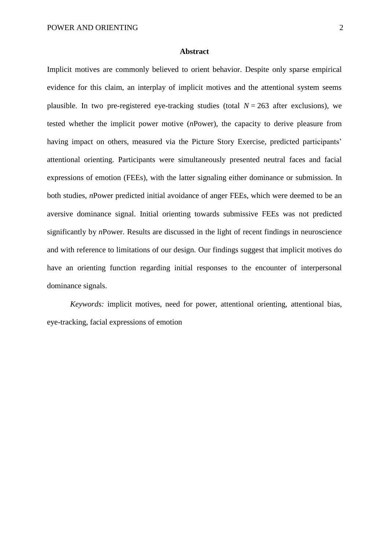## **Abstract**

Implicit motives are commonly believed to orient behavior. Despite only sparse empirical evidence for this claim, an interplay of implicit motives and the attentional system seems plausible. In two pre-registered eye-tracking studies (total  $N = 263$  after exclusions), we tested whether the implicit power motive (*n*Power), the capacity to derive pleasure from having impact on others, measured via the Picture Story Exercise, predicted participants' attentional orienting. Participants were simultaneously presented neutral faces and facial expressions of emotion (FEEs), with the latter signaling either dominance or submission. In both studies, *n*Power predicted initial avoidance of anger FEEs, which were deemed to be an aversive dominance signal. Initial orienting towards submissive FEEs was not predicted significantly by *n*Power. Results are discussed in the light of recent findings in neuroscience and with reference to limitations of our design. Our findings suggest that implicit motives do have an orienting function regarding initial responses to the encounter of interpersonal dominance signals.

*Keywords:* implicit motives, need for power, attentional orienting, attentional bias, eye-tracking, facial expressions of emotion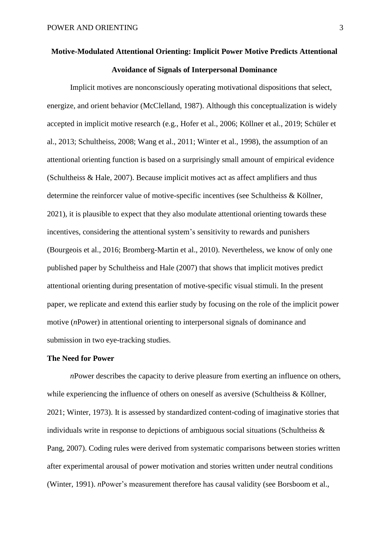# **Motive-Modulated Attentional Orienting: Implicit Power Motive Predicts Attentional Avoidance of Signals of Interpersonal Dominance**

Implicit motives are nonconsciously operating motivational dispositions that select, energize, and orient behavior (McClelland, 1987). Although this conceptualization is widely accepted in implicit motive research (e.g., Hofer et al., 2006; Köllner et al., 2019; Schüler et al., 2013; Schultheiss, 2008; Wang et al., 2011; Winter et al., 1998), the assumption of an attentional orienting function is based on a surprisingly small amount of empirical evidence (Schultheiss & Hale, 2007). Because implicit motives act as affect amplifiers and thus determine the reinforcer value of motive-specific incentives (see Schultheiss & Köllner, 2021), it is plausible to expect that they also modulate attentional orienting towards these incentives, considering the attentional system's sensitivity to rewards and punishers (Bourgeois et al., 2016; Bromberg-Martin et al., 2010). Nevertheless, we know of only one published paper by Schultheiss and Hale (2007) that shows that implicit motives predict attentional orienting during presentation of motive-specific visual stimuli. In the present paper, we replicate and extend this earlier study by focusing on the role of the implicit power motive (*n*Power) in attentional orienting to interpersonal signals of dominance and submission in two eye-tracking studies.

# **The Need for Power**

*n*Power describes the capacity to derive pleasure from exerting an influence on others, while experiencing the influence of others on oneself as aversive (Schultheiss  $\&$  Köllner, 2021; Winter, 1973). It is assessed by standardized content-coding of imaginative stories that individuals write in response to depictions of ambiguous social situations (Schultheiss & Pang, 2007). Coding rules were derived from systematic comparisons between stories written after experimental arousal of power motivation and stories written under neutral conditions (Winter, 1991). *n*Power's measurement therefore has causal validity (see Borsboom et al.,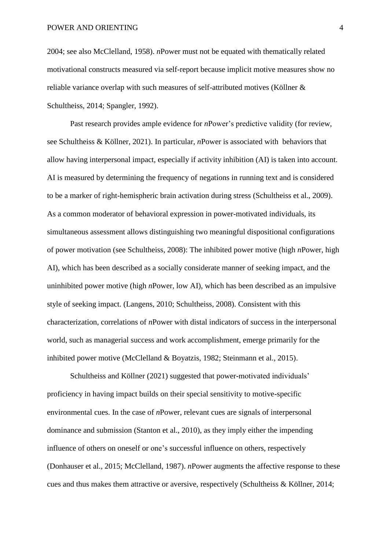2004; see also McClelland, 1958). *n*Power must not be equated with thematically related motivational constructs measured via self-report because implicit motive measures show no reliable variance overlap with such measures of self-attributed motives (Köllner & Schultheiss, 2014; Spangler, 1992).

Past research provides ample evidence for *n*Power's predictive validity (for review, see Schultheiss & Köllner, 2021). In particular, *n*Power is associated with behaviors that allow having interpersonal impact, especially if activity inhibition (AI) is taken into account. AI is measured by determining the frequency of negations in running text and is considered to be a marker of right-hemispheric brain activation during stress (Schultheiss et al., 2009). As a common moderator of behavioral expression in power-motivated individuals, its simultaneous assessment allows distinguishing two meaningful dispositional configurations of power motivation (see Schultheiss, 2008): The inhibited power motive (high *n*Power, high AI), which has been described as a socially considerate manner of seeking impact, and the uninhibited power motive (high *n*Power, low AI), which has been described as an impulsive style of seeking impact. (Langens, 2010; Schultheiss, 2008). Consistent with this characterization, correlations of *n*Power with distal indicators of success in the interpersonal world, such as managerial success and work accomplishment, emerge primarily for the inhibited power motive (McClelland & Boyatzis, 1982; Steinmann et al., 2015).

Schultheiss and Köllner (2021) suggested that power-motivated individuals' proficiency in having impact builds on their special sensitivity to motive-specific environmental cues. In the case of *n*Power, relevant cues are signals of interpersonal dominance and submission (Stanton et al., 2010), as they imply either the impending influence of others on oneself or one's successful influence on others, respectively (Donhauser et al., 2015; McClelland, 1987). *n*Power augments the affective response to these cues and thus makes them attractive or aversive, respectively (Schultheiss & Köllner, 2014;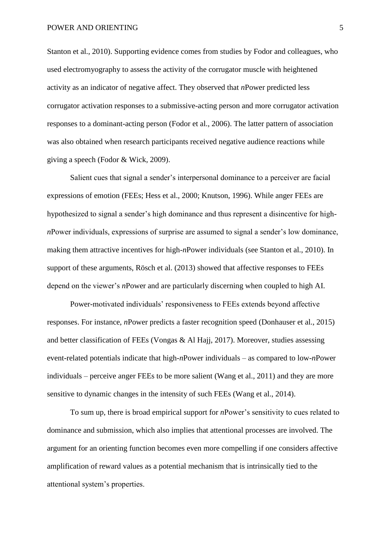Stanton et al., 2010). Supporting evidence comes from studies by Fodor and colleagues, who used electromyography to assess the activity of the corrugator muscle with heightened activity as an indicator of negative affect. They observed that *n*Power predicted less corrugator activation responses to a submissive-acting person and more corrugator activation responses to a dominant-acting person (Fodor et al., 2006). The latter pattern of association was also obtained when research participants received negative audience reactions while giving a speech (Fodor & Wick, 2009).

Salient cues that signal a sender's interpersonal dominance to a perceiver are facial expressions of emotion (FEEs; Hess et al., 2000; Knutson, 1996). While anger FEEs are hypothesized to signal a sender's high dominance and thus represent a disincentive for high*n*Power individuals, expressions of surprise are assumed to signal a sender's low dominance, making them attractive incentives for high-*n*Power individuals (see Stanton et al., 2010). In support of these arguments, Rösch et al. (2013) showed that affective responses to FEEs depend on the viewer's *n*Power and are particularly discerning when coupled to high AI.

Power-motivated individuals' responsiveness to FEEs extends beyond affective responses. For instance, *n*Power predicts a faster recognition speed (Donhauser et al., 2015) and better classification of FEEs (Vongas & Al Hajj, 2017). Moreover, studies assessing event-related potentials indicate that high-*n*Power individuals – as compared to low-*n*Power individuals – perceive anger FEEs to be more salient (Wang et al., 2011) and they are more sensitive to dynamic changes in the intensity of such FEEs (Wang et al., 2014).

To sum up, there is broad empirical support for *n*Power's sensitivity to cues related to dominance and submission, which also implies that attentional processes are involved. The argument for an orienting function becomes even more compelling if one considers affective amplification of reward values as a potential mechanism that is intrinsically tied to the attentional system's properties.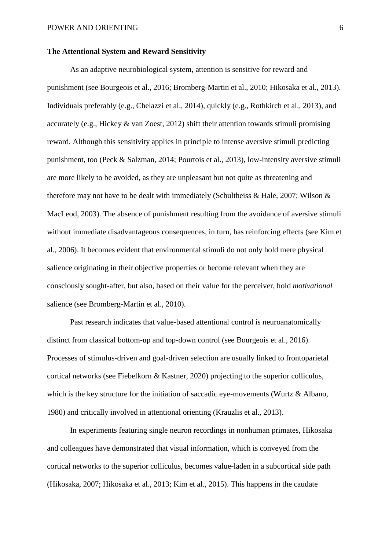# **The Attentional System and Reward Sensitivity**

As an adaptive neurobiological system, attention is sensitive for reward and punishment (see Bourgeois et al., 2016; Bromberg-Martin et al., 2010; Hikosaka et al., 2013). Individuals preferably (e.g., Chelazzi et al., 2014), quickly (e.g., Rothkirch et al., 2013), and accurately (e.g., Hickey & van Zoest, 2012) shift their attention towards stimuli promising reward. Although this sensitivity applies in principle to intense aversive stimuli predicting punishment, too (Peck & Salzman, 2014; Pourtois et al., 2013), low-intensity aversive stimuli are more likely to be avoided, as they are unpleasant but not quite as threatening and therefore may not have to be dealt with immediately (Schultheiss & Hale, 2007; Wilson & MacLeod, 2003). The absence of punishment resulting from the avoidance of aversive stimuli without immediate disadvantageous consequences, in turn, has reinforcing effects (see Kim et al., 2006). It becomes evident that environmental stimuli do not only hold mere physical salience originating in their objective properties or become relevant when they are consciously sought-after, but also, based on their value for the perceiver, hold *motivational* salience (see Bromberg-Martin et al., 2010).

Past research indicates that value-based attentional control is neuroanatomically distinct from classical bottom-up and top-down control (see Bourgeois et al., 2016). Processes of stimulus-driven and goal-driven selection are usually linked to frontoparietal cortical networks (see Fiebelkorn & Kastner, 2020) projecting to the superior colliculus, which is the key structure for the initiation of saccadic eye-movements (Wurtz & Albano, 1980) and critically involved in attentional orienting (Krauzlis et al., 2013).

In experiments featuring single neuron recordings in nonhuman primates, Hikosaka and colleagues have demonstrated that visual information, which is conveyed from the cortical networks to the superior colliculus, becomes value-laden in a subcortical side path (Hikosaka, 2007; Hikosaka et al., 2013; Kim et al., 2015). This happens in the caudate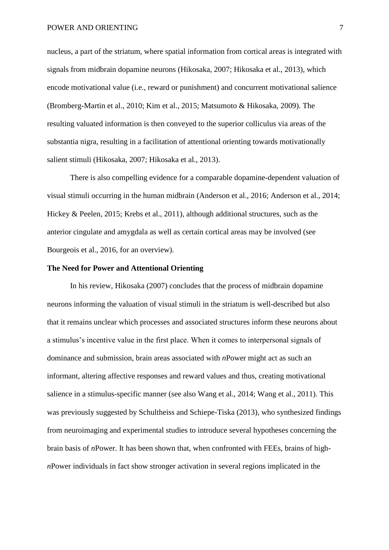nucleus, a part of the striatum, where spatial information from cortical areas is integrated with signals from midbrain dopamine neurons (Hikosaka, 2007; Hikosaka et al., 2013), which encode motivational value (i.e., reward or punishment) and concurrent motivational salience (Bromberg-Martin et al., 2010; Kim et al., 2015; Matsumoto & Hikosaka, 2009). The resulting valuated information is then conveyed to the superior colliculus via areas of the substantia nigra, resulting in a facilitation of attentional orienting towards motivationally salient stimuli (Hikosaka, 2007; Hikosaka et al., 2013).

There is also compelling evidence for a comparable dopamine-dependent valuation of visual stimuli occurring in the human midbrain (Anderson et al., 2016; Anderson et al., 2014; Hickey & Peelen, 2015; Krebs et al., 2011), although additional structures, such as the anterior cingulate and amygdala as well as certain cortical areas may be involved (see Bourgeois et al., 2016, for an overview).

# **The Need for Power and Attentional Orienting**

In his review, Hikosaka (2007) concludes that the process of midbrain dopamine neurons informing the valuation of visual stimuli in the striatum is well-described but also that it remains unclear which processes and associated structures inform these neurons about a stimulus's incentive value in the first place. When it comes to interpersonal signals of dominance and submission, brain areas associated with *n*Power might act as such an informant, altering affective responses and reward values and thus, creating motivational salience in a stimulus-specific manner (see also Wang et al., 2014; Wang et al., 2011). This was previously suggested by Schultheiss and Schiepe-Tiska (2013), who synthesized findings from neuroimaging and experimental studies to introduce several hypotheses concerning the brain basis of *n*Power. It has been shown that, when confronted with FEEs, brains of high*n*Power individuals in fact show stronger activation in several regions implicated in the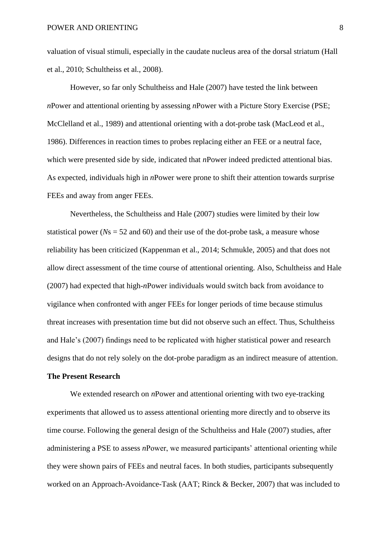valuation of visual stimuli, especially in the caudate nucleus area of the dorsal striatum (Hall et al., 2010; Schultheiss et al., 2008).

However, so far only Schultheiss and Hale (2007) have tested the link between *n*Power and attentional orienting by assessing *n*Power with a Picture Story Exercise (PSE; McClelland et al., 1989) and attentional orienting with a dot-probe task (MacLeod et al., 1986). Differences in reaction times to probes replacing either an FEE or a neutral face, which were presented side by side, indicated that *n*Power indeed predicted attentional bias. As expected, individuals high in *n*Power were prone to shift their attention towards surprise FEEs and away from anger FEEs.

Nevertheless, the Schultheiss and Hale (2007) studies were limited by their low statistical power ( $Ns = 52$  and 60) and their use of the dot-probe task, a measure whose reliability has been criticized (Kappenman et al., 2014; Schmukle, 2005) and that does not allow direct assessment of the time course of attentional orienting. Also, Schultheiss and Hale (2007) had expected that high-*n*Power individuals would switch back from avoidance to vigilance when confronted with anger FEEs for longer periods of time because stimulus threat increases with presentation time but did not observe such an effect. Thus, Schultheiss and Hale's (2007) findings need to be replicated with higher statistical power and research designs that do not rely solely on the dot-probe paradigm as an indirect measure of attention.

# **The Present Research**

We extended research on *n*Power and attentional orienting with two eye-tracking experiments that allowed us to assess attentional orienting more directly and to observe its time course. Following the general design of the Schultheiss and Hale (2007) studies, after administering a PSE to assess *n*Power, we measured participants' attentional orienting while they were shown pairs of FEEs and neutral faces. In both studies, participants subsequently worked on an Approach-Avoidance-Task (AAT; Rinck & Becker, 2007) that was included to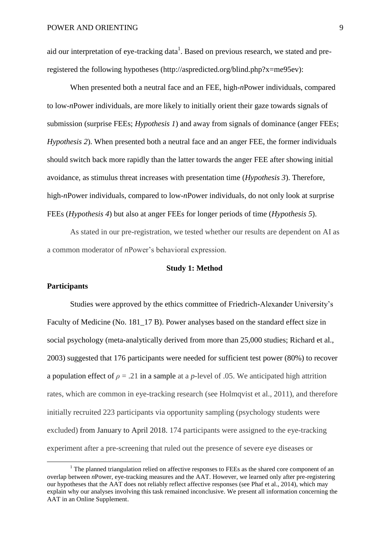aid our interpretation of eye-tracking data<sup>1</sup>. Based on previous research, we stated and preregistered the following hypotheses (http://aspredicted.org/blind.php?x=me95ev):

When presented both a neutral face and an FEE, high-*n*Power individuals, compared to low-*n*Power individuals, are more likely to initially orient their gaze towards signals of submission (surprise FEEs; *Hypothesis 1*) and away from signals of dominance (anger FEEs; *Hypothesis 2*). When presented both a neutral face and an anger FEE, the former individuals should switch back more rapidly than the latter towards the anger FEE after showing initial avoidance, as stimulus threat increases with presentation time (*Hypothesis 3*). Therefore, high-*n*Power individuals, compared to low-*n*Power individuals, do not only look at surprise FEEs (*Hypothesis 4*) but also at anger FEEs for longer periods of time (*Hypothesis 5*).

As stated in our pre-registration, we tested whether our results are dependent on AI as a common moderator of *n*Power's behavioral expression.

# **Study 1: Method**

## **Participants**

**.** 

Studies were approved by the ethics committee of Friedrich-Alexander University's Faculty of Medicine (No. 181–17 B). Power analyses based on the standard effect size in social psychology (meta-analytically derived from more than 25,000 studies; Richard et al., 2003) suggested that 176 participants were needed for sufficient test power (80%) to recover a population effect of  $\rho = 0.21$  in a sample at a *p*-level of 0.05. We anticipated high attrition rates, which are common in eye-tracking research (see Holmqvist et al., 2011), and therefore initially recruited 223 participants via opportunity sampling (psychology students were excluded) from January to April 2018. 174 participants were assigned to the eye-tracking experiment after a pre-screening that ruled out the presence of severe eye diseases or

 $1$  The planned triangulation relied on affective responses to FEEs as the shared core component of an overlap between *n*Power, eye-tracking measures and the AAT. However, we learned only after pre-registering our hypotheses that the AAT does not reliably reflect affective responses (see Phaf et al., 2014), which may explain why our analyses involving this task remained inconclusive. We present all information concerning the AAT in an Online Supplement.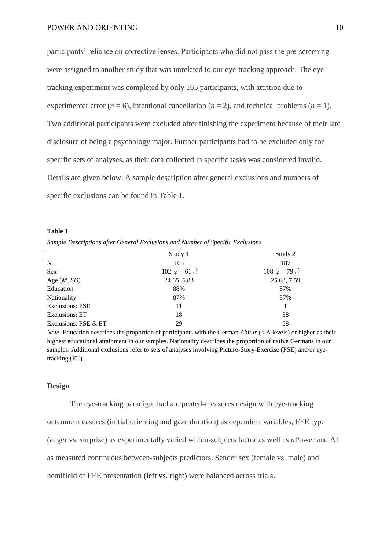participants' reliance on corrective lenses. Participants who did not pass the pre-screening were assigned to another study that was unrelated to our eye-tracking approach. The eyetracking experiment was completed by only 165 participants, with attrition due to experimenter error ( $n = 6$ ), intentional cancellation ( $n = 2$ ), and technical problems ( $n = 1$ ). Two additional participants were excluded after finishing the experiment because of their late disclosure of being a psychology major. Further participants had to be excluded only for specific sets of analyses, as their data collected in specific tasks was considered invalid. Details are given below. A sample description after general exclusions and numbers of specific exclusions can be found in Table 1.

#### **Table 1**

*Sample Descriptions after General Exclusions and Number of Specific Exclusions*

|                        | Study 1                            | Study 2      |
|------------------------|------------------------------------|--------------|
| $\boldsymbol{N}$       | 163                                | 187          |
| Sex                    | $102 \nvert\ 2 \quad 61 \nvert\ 3$ | $108\degree$ |
| Age $(M, SD)$          | 24.65, 6.83                        | 25.63, 7.59  |
| Education              | 88%                                | 87%          |
| Nationality            | 87%                                | 87%          |
| <b>Exclusions: PSE</b> | 11                                 |              |
| Exclusions: ET         | 18                                 | 58           |
| Exclusions: PSE & ET   | 29                                 | 58           |

*Note.* Education describes the proportion of participants with the German *Abitur*  $(\approx A \text{ levels})$  or higher as their highest educational attainment in our samples. Nationality describes the proportion of native Germans in our samples. Additional exclusions refer to sets of analyses involving Picture-Story-Exercise (PSE) and/or eyetracking (ET).

## **Design**

The eye-tracking paradigm had a repeated-measures design with eye-tracking outcome measures (initial orienting and gaze duration) as dependent variables, FEE type (anger vs. surprise) as experimentally varied within-subjects factor as well as *n*Power and AI as measured continuous between-subjects predictors. Sender sex (female vs. male) and hemifield of FEE presentation (left vs. right) were balanced across trials.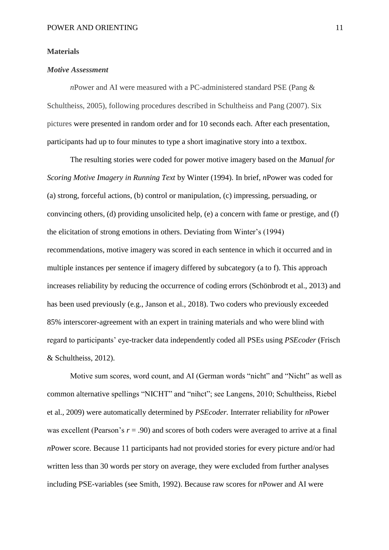## **Materials**

# *Motive Assessment*

*n*Power and AI were measured with a PC-administered standard PSE (Pang & Schultheiss, 2005), following procedures described in Schultheiss and Pang (2007). Six pictures were presented in random order and for 10 seconds each. After each presentation, participants had up to four minutes to type a short imaginative story into a textbox.

The resulting stories were coded for power motive imagery based on the *Manual for Scoring Motive Imagery in Running Text* by Winter (1994). In brief, *n*Power was coded for (a) strong, forceful actions, (b) control or manipulation, (c) impressing, persuading, or convincing others, (d) providing unsolicited help, (e) a concern with fame or prestige, and (f) the elicitation of strong emotions in others. Deviating from Winter's (1994) recommendations, motive imagery was scored in each sentence in which it occurred and in multiple instances per sentence if imagery differed by subcategory (a to f). This approach increases reliability by reducing the occurrence of coding errors (Schönbrodt et al., 2013) and has been used previously (e.g., Janson et al., 2018). Two coders who previously exceeded 85% interscorer-agreement with an expert in training materials and who were blind with regard to participants' eye-tracker data independently coded all PSEs using *PSEcoder* (Frisch & Schultheiss, 2012).

Motive sum scores, word count, and AI (German words "nicht" and "Nicht" as well as common alternative spellings "NICHT" and "nihct"; see Langens, 2010; Schultheiss, Riebel et al., 2009) were automatically determined by *PSEcoder.* Interrater reliability for *n*Power was excellent (Pearson's  $r = .90$ ) and scores of both coders were averaged to arrive at a final *n*Power score. Because 11 participants had not provided stories for every picture and/or had written less than 30 words per story on average, they were excluded from further analyses including PSE-variables (see Smith, 1992). Because raw scores for *n*Power and AI were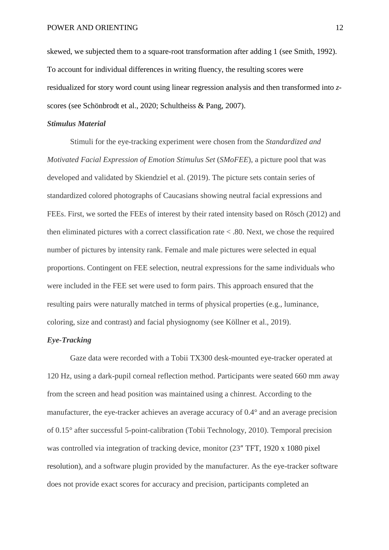skewed, we subjected them to a square-root transformation after adding 1 (see Smith, 1992). To account for individual differences in writing fluency, the resulting scores were residualized for story word count using linear regression analysis and then transformed into *z*scores (see Schönbrodt et al., 2020; Schultheiss & Pang, 2007).

#### *Stimulus Material*

Stimuli for the eye-tracking experiment were chosen from the *Standardized and Motivated Facial Expression of Emotion Stimulus Set* (*SMoFEE*), a picture pool that was developed and validated by Skiendziel et al. (2019). The picture sets contain series of standardized colored photographs of Caucasians showing neutral facial expressions and FEEs. First, we sorted the FEEs of interest by their rated intensity based on Rösch (2012) and then eliminated pictures with a correct classification rate < .80. Next, we chose the required number of pictures by intensity rank. Female and male pictures were selected in equal proportions. Contingent on FEE selection, neutral expressions for the same individuals who were included in the FEE set were used to form pairs. This approach ensured that the resulting pairs were naturally matched in terms of physical properties (e.g., luminance, coloring, size and contrast) and facial physiognomy (see Köllner et al., 2019).

# *Eye-Tracking*

Gaze data were recorded with a Tobii TX300 desk-mounted eye-tracker operated at 120 Hz, using a dark-pupil corneal reflection method. Participants were seated 660 mm away from the screen and head position was maintained using a chinrest. According to the manufacturer, the eye-tracker achieves an average accuracy of 0.4° and an average precision of 0.15° after successful 5-point-calibration (Tobii Technology, 2010). Temporal precision was controlled via integration of tracking device, monitor (23″ TFT, 1920 x 1080 pixel resolution), and a software plugin provided by the manufacturer. As the eye-tracker software does not provide exact scores for accuracy and precision, participants completed an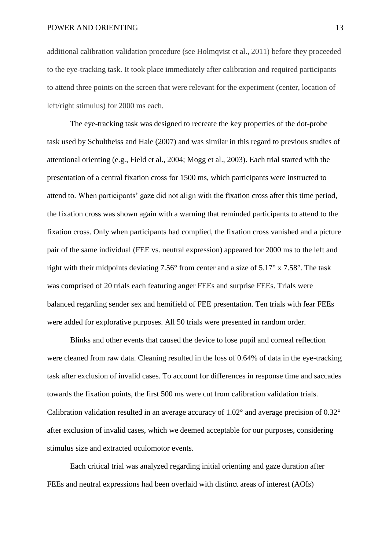additional calibration validation procedure (see Holmqvist et al., 2011) before they proceeded to the eye-tracking task. It took place immediately after calibration and required participants to attend three points on the screen that were relevant for the experiment (center, location of left/right stimulus) for 2000 ms each.

The eye-tracking task was designed to recreate the key properties of the dot-probe task used by Schultheiss and Hale (2007) and was similar in this regard to previous studies of attentional orienting (e.g., Field et al., 2004; Mogg et al., 2003). Each trial started with the presentation of a central fixation cross for 1500 ms, which participants were instructed to attend to. When participants' gaze did not align with the fixation cross after this time period, the fixation cross was shown again with a warning that reminded participants to attend to the fixation cross. Only when participants had complied, the fixation cross vanished and a picture pair of the same individual (FEE vs. neutral expression) appeared for 2000 ms to the left and right with their midpoints deviating 7.56° from center and a size of 5.17° x 7.58°. The task was comprised of 20 trials each featuring anger FEEs and surprise FEEs. Trials were balanced regarding sender sex and hemifield of FEE presentation. Ten trials with fear FEEs were added for explorative purposes. All 50 trials were presented in random order.

Blinks and other events that caused the device to lose pupil and corneal reflection were cleaned from raw data. Cleaning resulted in the loss of 0.64% of data in the eye-tracking task after exclusion of invalid cases. To account for differences in response time and saccades towards the fixation points, the first 500 ms were cut from calibration validation trials. Calibration validation resulted in an average accuracy of 1.02° and average precision of 0.32° after exclusion of invalid cases, which we deemed acceptable for our purposes, considering stimulus size and extracted oculomotor events.

Each critical trial was analyzed regarding initial orienting and gaze duration after FEEs and neutral expressions had been overlaid with distinct areas of interest (AOIs)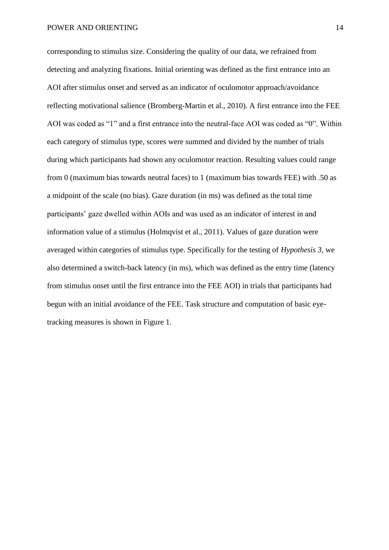corresponding to stimulus size. Considering the quality of our data, we refrained from detecting and analyzing fixations. Initial orienting was defined as the first entrance into an AOI after stimulus onset and served as an indicator of oculomotor approach/avoidance reflecting motivational salience (Bromberg-Martin et al., 2010). A first entrance into the FEE AOI was coded as "1" and a first entrance into the neutral-face AOI was coded as "0". Within each category of stimulus type, scores were summed and divided by the number of trials during which participants had shown any oculomotor reaction. Resulting values could range from 0 (maximum bias towards neutral faces) to 1 (maximum bias towards FEE) with .50 as a midpoint of the scale (no bias). Gaze duration (in ms) was defined as the total time participants' gaze dwelled within AOIs and was used as an indicator of interest in and information value of a stimulus (Holmqvist et al., 2011). Values of gaze duration were averaged within categories of stimulus type. Specifically for the testing of *Hypothesis 3*, we also determined a switch-back latency (in ms), which was defined as the entry time (latency from stimulus onset until the first entrance into the FEE AOI) in trials that participants had begun with an initial avoidance of the FEE. Task structure and computation of basic eyetracking measures is shown in Figure 1.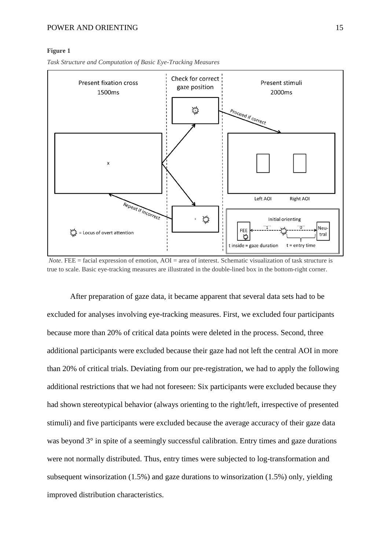## POWER AND ORIENTING 15

#### **Figure 1**



*Task Structure and Computation of Basic Eye-Tracking Measures*

*Note*. FEE = facial expression of emotion, AOI = area of interest. Schematic visualization of task structure is true to scale. Basic eye-tracking measures are illustrated in the double-lined box in the bottom-right corner.

After preparation of gaze data, it became apparent that several data sets had to be excluded for analyses involving eye-tracking measures. First, we excluded four participants because more than 20% of critical data points were deleted in the process. Second, three additional participants were excluded because their gaze had not left the central AOI in more than 20% of critical trials. Deviating from our pre-registration, we had to apply the following additional restrictions that we had not foreseen: Six participants were excluded because they had shown stereotypical behavior (always orienting to the right/left, irrespective of presented stimuli) and five participants were excluded because the average accuracy of their gaze data was beyond  $3^\circ$  in spite of a seemingly successful calibration. Entry times and gaze durations were not normally distributed. Thus, entry times were subjected to log-transformation and subsequent winsorization (1.5%) and gaze durations to winsorization (1.5%) only, yielding improved distribution characteristics.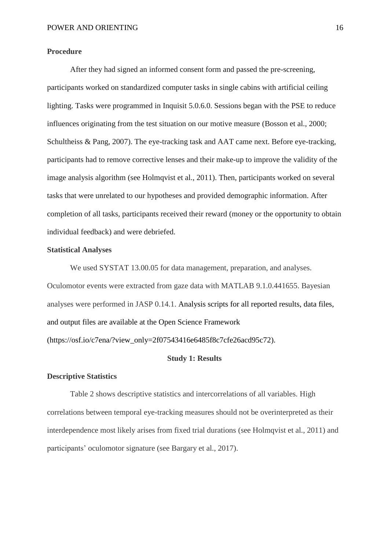## **Procedure**

After they had signed an informed consent form and passed the pre-screening, participants worked on standardized computer tasks in single cabins with artificial ceiling lighting. Tasks were programmed in Inquisit 5.0.6.0. Sessions began with the PSE to reduce influences originating from the test situation on our motive measure (Bosson et al., 2000; Schultheiss & Pang, 2007). The eye-tracking task and AAT came next. Before eye-tracking, participants had to remove corrective lenses and their make-up to improve the validity of the image analysis algorithm (see Holmqvist et al., 2011). Then, participants worked on several tasks that were unrelated to our hypotheses and provided demographic information. After completion of all tasks, participants received their reward (money or the opportunity to obtain individual feedback) and were debriefed.

## **Statistical Analyses**

We used SYSTAT 13.00.05 for data management, preparation, and analyses. Oculomotor events were extracted from gaze data with MATLAB 9.1.0.441655. Bayesian analyses were performed in JASP 0.14.1. Analysis scripts for all reported results, data files, and output files are available at the Open Science Framework

(https://osf.io/c7ena/?view\_only=2f07543416e6485f8c7cfe26acd95c72).

# **Study 1: Results**

# **Descriptive Statistics**

Table 2 shows descriptive statistics and intercorrelations of all variables. High correlations between temporal eye-tracking measures should not be overinterpreted as their interdependence most likely arises from fixed trial durations (see Holmqvist et al., 2011) and participants' oculomotor signature (see Bargary et al., 2017).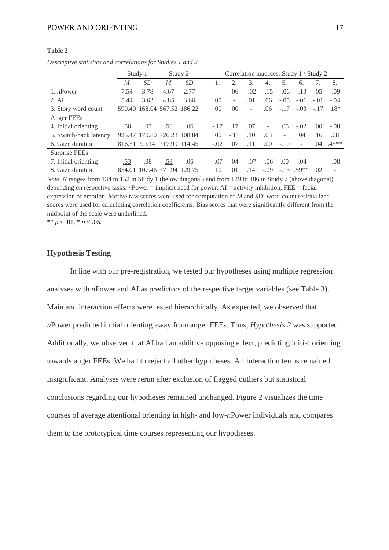## **Table 2**

*Descriptive statistics and correlations for Studies 1 and 2*

|                        | Study 1 |           |                             | Study 2 |  | Correlation matrices: Study 1 \ Study 2 |        |        |                          |                          |        |                          |         |  |
|------------------------|---------|-----------|-----------------------------|---------|--|-----------------------------------------|--------|--------|--------------------------|--------------------------|--------|--------------------------|---------|--|
|                        | M       | <i>SD</i> | M                           | SD      |  |                                         | 2.     | 3.     | 4.                       | 5.                       | 6.     | 7.                       | 8.      |  |
| 1. $n$ Power           | 7.54    | 3.78      | 4.67                        | 2.77    |  |                                         | .06    | $-.02$ | $-.15$                   | $-.06$                   | $-.13$ | .05                      | $-.09$  |  |
| 2. AI                  | 5.44    | 3.63      | 4.85                        | 3.66    |  | .09                                     | ٠      | .01    | .06                      | $-.05$                   | $-.01$ | $-.01$                   | $-.04$  |  |
| 3. Story word count    |         |           | 590.40 168.04 567.52 186.22 |         |  | .00                                     | .00    | ٠      | .06                      | $-.17$                   | $-.03$ | $-.17$                   | $.18*$  |  |
| Anger FEEs             |         |           |                             |         |  |                                         |        |        |                          |                          |        |                          |         |  |
| 4. Initial orienting   | .50     | .07       | .50                         | .06     |  | $-.17$                                  | .17    | .07    | $\overline{\phantom{a}}$ | .05                      | $-.02$ | .00                      | $-.08$  |  |
| 5. Switch-back latency | 925.47  |           | 170.80 726.23 108.84        |         |  | .00.                                    | $-.11$ | .10    | .03                      | $\overline{\phantom{0}}$ | .04    | .16                      | .08     |  |
| 6. Gaze duration       | 816.51  |           | 99.14 717.99 114.45         |         |  | $-.02$                                  | .07    | .11    | .00.                     | $-.10$                   | ٠      | .04                      | $.45**$ |  |
| Surprise FEEs          |         |           |                             |         |  |                                         |        |        |                          |                          |        |                          |         |  |
| 7. Initial orienting   | .53     | .08       | .53                         | .06     |  | $-.07$                                  | .04    | $-.07$ | $-.06$                   | .00.                     | $-.04$ | $\overline{\phantom{0}}$ | $-.08$  |  |
| 8. Gaze duration       | 854.01  | 107.46    | 771.94                      | 129.75  |  | .10                                     | .01    | .14    | $-.09$                   | $-.13$                   | $59**$ | .02                      |         |  |

*Note. N* ranges from 134 to 152 in Study 1 (below diagonal) and from 129 to 186 in Study 2 (above diagonal) depending on respective tasks. *n*Power = implicit need for power, AI = activity inhibition, FEE = facial expression of emotion. Motive raw scores were used for computation of *M* and *SD*; word-count residualized scores were used for calculating correlation coefficients. Bias scores that were significantly different from the midpoint of the scale were underlined.

\*\*  $p < .01$ , \*  $p < .05$ .

# **Hypothesis Testing**

In line with our pre-registration, we tested our hypotheses using multiple regression analyses with *n*Power and AI as predictors of the respective target variables (see Table 3). Main and interaction effects were tested hierarchically. As expected, we observed that *n*Power predicted initial orienting away from anger FEEs. Thus, *Hypothesis 2* was supported. Additionally, we observed that AI had an additive opposing effect, predicting initial orienting towards anger FEEs. We had to reject all other hypotheses. All interaction terms remained insignificant. Analyses were rerun after exclusion of flagged outliers but statistical conclusions regarding our hypotheses remained unchanged. Figure 2 visualizes the time courses of average attentional orienting in high- and low-*n*Power individuals and compares them to the prototypical time courses representing our hypotheses.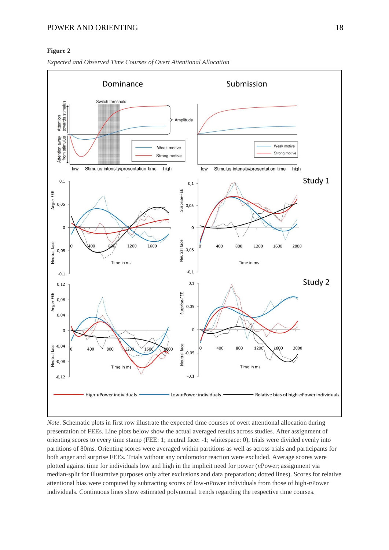## **Figure 2**



*Expected and Observed Time Courses of Overt Attentional Allocation*

*Note*. Schematic plots in first row illustrate the expected time courses of overt attentional allocation during presentation of FEEs. Line plots below show the actual averaged results across studies. After assignment of orienting scores to every time stamp (FEE: 1; neutral face: -1; whitespace: 0), trials were divided evenly into partitions of 80ms. Orienting scores were averaged within partitions as well as across trials and participants for both anger and surprise FEEs. Trials without any oculomotor reaction were excluded. Average scores were plotted against time for individuals low and high in the implicit need for power (*n*Power; assignment via median-split for illustrative purposes only after exclusions and data preparation; dotted lines). Scores for relative attentional bias were computed by subtracting scores of low-*n*Power individuals from those of high-*n*Power individuals. Continuous lines show estimated polynomial trends regarding the respective time courses.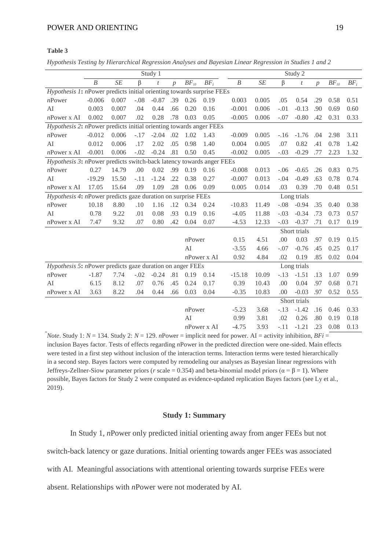| Hypothesis Testing by Hierarchical Regression Analyses and Bayesian Linear Regression in Studies 1 and 2 |  |  |  |  |  |
|----------------------------------------------------------------------------------------------------------|--|--|--|--|--|
|                                                                                                          |  |  |  |  |  |

|                                                                               | Study 1                                                   |           |        |                  |                | Study 2   |                |                  |       |        |                  |                |           |        |
|-------------------------------------------------------------------------------|-----------------------------------------------------------|-----------|--------|------------------|----------------|-----------|----------------|------------------|-------|--------|------------------|----------------|-----------|--------|
|                                                                               | $\boldsymbol{B}$                                          | $\cal SE$ | β      | t                | $\overline{p}$ | $BF_{10}$ | $BF_i$         | $\boldsymbol{B}$ | SE    | β      | $\boldsymbol{t}$ | $\overline{p}$ | $BF_{10}$ | $BF_i$ |
| <i>Hypothesis 1: n</i> Power predicts initial orienting towards surprise FEEs |                                                           |           |        |                  |                |           |                |                  |       |        |                  |                |           |        |
| $n$ Power                                                                     | $-0.006$                                                  | 0.007     | $-.08$ | $-0.87$ .39 0.26 |                |           | 0.19           | 0.003            | 0.005 | .05    | 0.54             | .29            | 0.58      | 0.51   |
| AI                                                                            | 0.003                                                     | 0.007     | .04    | 0.44             | .66            | 0.20      | 0.16           | $-0.001$         | 0.006 | $-.01$ | $-0.13$          | .90            | 0.69      | 0.60   |
| $n$ Power x AI                                                                | 0.002                                                     | 0.007     | .02    | 0.28             | .78            | 0.03      | 0.05           | $-0.005$         | 0.006 | $-.07$ | $-0.80$          | .42            | 0.31      | 0.33   |
| <i>Hypothesis 2: nPower predicts initial orienting towards anger FEEs</i>     |                                                           |           |        |                  |                |           |                |                  |       |        |                  |                |           |        |
| $n$ Power                                                                     | $-0.012$                                                  | 0.006     | $-.17$ | $-2.04$ .02      |                | 1.02      | 1.43           | $-0.009$         | 0.005 | $-.16$ | $-1.76$          | .04            | 2.98      | 3.11   |
| AI                                                                            | 0.012                                                     | 0.006     | .17    | 2.02             | .05            | 0.98      | 1.40           | 0.004            | 0.005 | .07    | 0.82             | .41            | 0.78      | 1.42   |
| $n$ Power x AI                                                                | $-0.001$                                                  | 0.006     | $-.02$ | $-0.24$          | .81            | 0.50      | 0.45           | $-0.002$         | 0.005 | $-.03$ | $-0.29$          | .77            | 2.23      | 1.32   |
| Hypothesis 3: nPower predicts switch-back latency towards anger FEEs          |                                                           |           |        |                  |                |           |                |                  |       |        |                  |                |           |        |
| $n$ Power                                                                     | 0.27                                                      | 14.79     | .00    | 0.02             | .99            | 0.19      | 0.16           | $-0.008$         | 0.013 | $-.06$ | $-0.65$          | .26            | 0.83      | 0.75   |
| AI                                                                            | $-19.29$                                                  | 15.50     | $-.11$ | $-1.24$          | .22            | 0.38      | 0.27           | $-0.007$         | 0.013 | $-.04$ | $-0.49$          | .63            | 0.78      | 0.74   |
| $n$ Power x AI                                                                | 17.05                                                     | 15.64     | .09    | 1.09             | .28            | 0.06      | 0.09           | 0.005            | 0.014 | .03    | 0.39             | .70            | 0.48      | 0.51   |
| Hypothesis 4: nPower predicts gaze duration on surprise FEEs                  |                                                           |           |        |                  |                |           | Long trials    |                  |       |        |                  |                |           |        |
| $n$ Power                                                                     | 10.18                                                     | 8.80      | .10    | 1.16             | .12            | 0.34      | 0.24           | $-10.83$         | 11.49 | $-.08$ | $-0.94$          | .35            | 0.40      | 0.38   |
| AI                                                                            | 0.78                                                      | 9.22      | .01    | 0.08             | .93            | 0.19      | 0.16           | $-4.05$          | 11.88 | $-.03$ | $-0.34$          | .73            | 0.73      | 0.57   |
| $n$ Power x AI                                                                | 7.47                                                      | 9.32      | .07    | 0.80             | .42            | 0.04      | 0.07           | $-4.53$          | 12.33 | $-.03$ | $-0.37$          | .71            | 0.17      | 0.19   |
|                                                                               |                                                           |           |        |                  |                |           |                |                  |       |        | Short trials     |                |           |        |
|                                                                               |                                                           |           |        |                  |                | $n$ Power |                | 0.15             | 4.51  | .00    | 0.03             | .97            | 0.19      | 0.15   |
|                                                                               |                                                           |           |        |                  |                | AI        |                | $-3.55$          | 4.66  | $-.07$ | $-0.76$          | .45            | 0.25      | 0.17   |
|                                                                               |                                                           |           |        |                  |                |           | $n$ Power x AI | 0.92             | 4.84  | .02    | 0.19             | .85            | 0.02      | 0.04   |
|                                                                               | Hypothesis 5: nPower predicts gaze duration on anger FEEs |           |        |                  |                |           |                | Long trials      |       |        |                  |                |           |        |
| $n$ Power                                                                     | $-1.87$                                                   | 7.74      | $-.02$ | $-0.24$          | .81            | 0.19      | 0.14           | $-15.18$         | 10.09 | $-.13$ | $-1.51$          | .13            | 1.07      | 0.99   |
| AI                                                                            | 6.15                                                      | 8.12      | .07    | 0.76             | .45            | 0.24      | 0.17           | 0.39             | 10.43 | .00    | 0.04             | .97            | 0.68      | 0.71   |
| $n$ Power x AI                                                                | 3.63                                                      | 8.22      | .04    | 0.44             | .66            | 0.03      | 0.04           | $-0.35$          | 10.83 | .00    | $-0.03$          | .97            | 0.52      | 0.55   |
|                                                                               |                                                           |           |        |                  |                |           |                |                  |       |        | Short trials     |                |           |        |
|                                                                               |                                                           |           |        |                  |                | $n$ Power |                | $-5.23$          | 3.68  | $-.13$ | $-1.42$          | .16            | 0.46      | 0.33   |
|                                                                               |                                                           |           |        |                  |                | AI        |                | 0.99             | 3.81  | .02    | 0.26             | .80            | 0.19      | 0.18   |
|                                                                               |                                                           |           |        |                  |                |           | $n$ Power x AI | $-4.75$          | 3.93  | $-.11$ | $-1.21$          | .23            | 0.08      | 0.13   |

*Note*. Study 1:  $N = 134$ . Study 2:  $N = 129$ . *n*Power = implicit need for power. AI = activity inhibition, *BFi* = inclusion Bayes factor. Tests of effects regarding *n*Power in the predicted direction were one-sided. Main effects were tested in a first step without inclusion of the interaction terms. Interaction terms were tested hierarchically in a second step. Bayes factors were computed by remodeling our analyses as Bayesian linear regressions with Jeffreys-Zellner-Siow parameter priors (*r* scale = 0.354) and beta-binomial model priors ( $\alpha = \beta = 1$ ). Where possible, Bayes factors for Study 2 were computed as evidence-updated replication Bayes factors (see Ly et al., 2019).

# **Study 1: Summary**

In Study 1, *n*Power only predicted initial orienting away from anger FEEs but not switch-back latency or gaze durations. Initial orienting towards anger FEEs was associated with AI. Meaningful associations with attentional orienting towards surprise FEEs were absent. Relationships with *n*Power were not moderated by AI.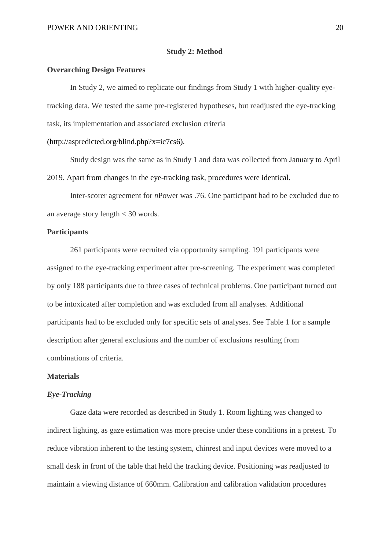### **Study 2: Method**

## **Overarching Design Features**

In Study 2, we aimed to replicate our findings from Study 1 with higher-quality eyetracking data. We tested the same pre-registered hypotheses, but readjusted the eye-tracking task, its implementation and associated exclusion criteria

# (http://aspredicted.org/blind.php?x=ic7cs6).

Study design was the same as in Study 1 and data was collected from January to April 2019. Apart from changes in the eye-tracking task, procedures were identical.

Inter-scorer agreement for *n*Power was .76. One participant had to be excluded due to an average story length < 30 words.

# **Participants**

261 participants were recruited via opportunity sampling. 191 participants were assigned to the eye-tracking experiment after pre-screening. The experiment was completed by only 188 participants due to three cases of technical problems. One participant turned out to be intoxicated after completion and was excluded from all analyses. Additional participants had to be excluded only for specific sets of analyses. See Table 1 for a sample description after general exclusions and the number of exclusions resulting from combinations of criteria.

# **Materials**

#### *Eye-Tracking*

Gaze data were recorded as described in Study 1. Room lighting was changed to indirect lighting, as gaze estimation was more precise under these conditions in a pretest. To reduce vibration inherent to the testing system, chinrest and input devices were moved to a small desk in front of the table that held the tracking device. Positioning was readjusted to maintain a viewing distance of 660mm. Calibration and calibration validation procedures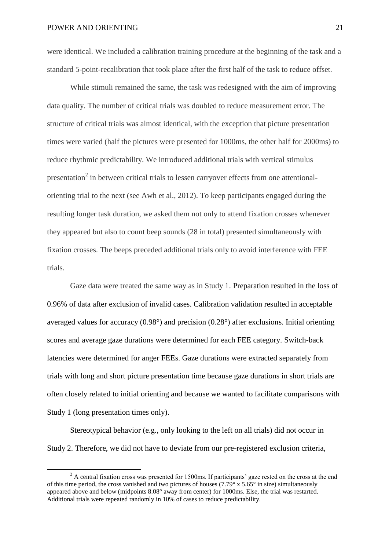**.** 

were identical. We included a calibration training procedure at the beginning of the task and a standard 5-point-recalibration that took place after the first half of the task to reduce offset.

While stimuli remained the same, the task was redesigned with the aim of improving data quality. The number of critical trials was doubled to reduce measurement error. The structure of critical trials was almost identical, with the exception that picture presentation times were varied (half the pictures were presented for 1000ms, the other half for 2000ms) to reduce rhythmic predictability. We introduced additional trials with vertical stimulus presentation<sup>2</sup> in between critical trials to lessen carryover effects from one attentionalorienting trial to the next (see Awh et al., 2012). To keep participants engaged during the resulting longer task duration, we asked them not only to attend fixation crosses whenever they appeared but also to count beep sounds (28 in total) presented simultaneously with fixation crosses. The beeps preceded additional trials only to avoid interference with FEE trials.

Gaze data were treated the same way as in Study 1. Preparation resulted in the loss of 0.96% of data after exclusion of invalid cases. Calibration validation resulted in acceptable averaged values for accuracy (0.98°) and precision (0.28°) after exclusions. Initial orienting scores and average gaze durations were determined for each FEE category. Switch-back latencies were determined for anger FEEs. Gaze durations were extracted separately from trials with long and short picture presentation time because gaze durations in short trials are often closely related to initial orienting and because we wanted to facilitate comparisons with Study 1 (long presentation times only).

Stereotypical behavior (e.g., only looking to the left on all trials) did not occur in Study 2. Therefore, we did not have to deviate from our pre-registered exclusion criteria,

 $2 \text{ A central fixation cross was presented for 1500ms. If participants' gaze restored on the cross at the end.}$ of this time period, the cross vanished and two pictures of houses (7.79° x 5.65° in size) simultaneously appeared above and below (midpoints 8.08° away from center) for 1000ms. Else, the trial was restarted. Additional trials were repeated randomly in 10% of cases to reduce predictability.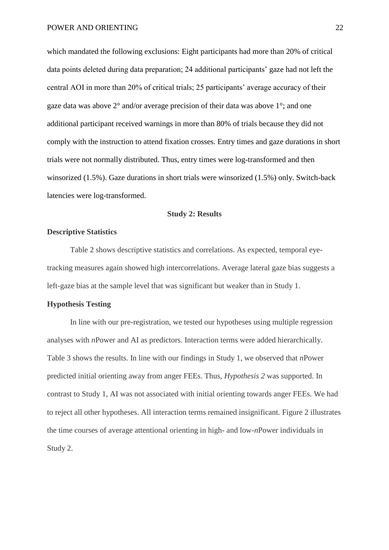which mandated the following exclusions: Eight participants had more than 20% of critical data points deleted during data preparation; 24 additional participants' gaze had not left the central AOI in more than 20% of critical trials; 25 participants' average accuracy of their gaze data was above 2° and/or average precision of their data was above 1°; and one additional participant received warnings in more than 80% of trials because they did not comply with the instruction to attend fixation crosses. Entry times and gaze durations in short trials were not normally distributed. Thus, entry times were log-transformed and then winsorized (1.5%). Gaze durations in short trials were winsorized (1.5%) only. Switch-back latencies were log-transformed.

## **Study 2: Results**

# **Descriptive Statistics**

Table 2 shows descriptive statistics and correlations. As expected, temporal eyetracking measures again showed high intercorrelations. Average lateral gaze bias suggests a left-gaze bias at the sample level that was significant but weaker than in Study 1.

## **Hypothesis Testing**

In line with our pre-registration, we tested our hypotheses using multiple regression analyses with *n*Power and AI as predictors. Interaction terms were added hierarchically. Table 3 shows the results. In line with our findings in Study 1, we observed that *n*Power predicted initial orienting away from anger FEEs. Thus, *Hypothesis 2* was supported. In contrast to Study 1, AI was not associated with initial orienting towards anger FEEs. We had to reject all other hypotheses. All interaction terms remained insignificant. Figure 2 illustrates the time courses of average attentional orienting in high- and low-*n*Power individuals in Study 2.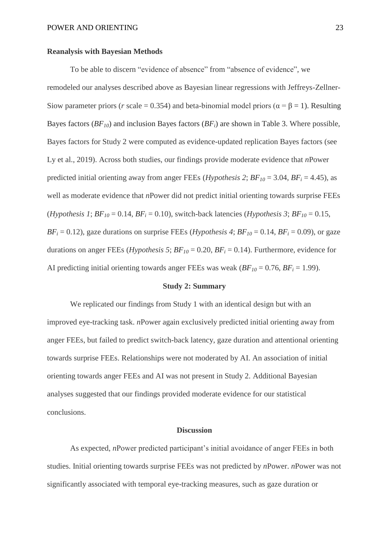## **Reanalysis with Bayesian Methods**

To be able to discern "evidence of absence" from "absence of evidence", we remodeled our analyses described above as Bayesian linear regressions with Jeffreys-Zellner-Siow parameter priors (*r* scale = 0.354) and beta-binomial model priors ( $\alpha = \beta = 1$ ). Resulting Bayes factors (*BF10*) and inclusion Bayes factors (*BFi*) are shown in Table 3. Where possible, Bayes factors for Study 2 were computed as evidence-updated replication Bayes factors (see Ly et al., 2019). Across both studies, our findings provide moderate evidence that *n*Power predicted initial orienting away from anger FEEs (*Hypothesis 2*;  $BF_{10} = 3.04$ ,  $BF_i = 4.45$ ), as well as moderate evidence that *n*Power did not predict initial orienting towards surprise FEEs (*Hypothesis 1*;  $BF_{10} = 0.14$ ,  $BF_i = 0.10$ ), switch-back latencies (*Hypothesis 3*;  $BF_{10} = 0.15$ ,  $BF_i = 0.12$ ), gaze durations on surprise FEEs (*Hypothesis 4*;  $BF_{10} = 0.14$ ,  $BF_i = 0.09$ ), or gaze durations on anger FEEs (*Hypothesis 5*;  $BF_{10} = 0.20$ ,  $BF_i = 0.14$ ). Furthermore, evidence for AI predicting initial orienting towards anger FEEs was weak  $(BF_{10} = 0.76, BF_i = 1.99)$ .

## **Study 2: Summary**

We replicated our findings from Study 1 with an identical design but with an improved eye-tracking task. *n*Power again exclusively predicted initial orienting away from anger FEEs, but failed to predict switch-back latency, gaze duration and attentional orienting towards surprise FEEs. Relationships were not moderated by AI. An association of initial orienting towards anger FEEs and AI was not present in Study 2. Additional Bayesian analyses suggested that our findings provided moderate evidence for our statistical conclusions.

## **Discussion**

As expected, *n*Power predicted participant's initial avoidance of anger FEEs in both studies. Initial orienting towards surprise FEEs was not predicted by *n*Power. *n*Power was not significantly associated with temporal eye-tracking measures, such as gaze duration or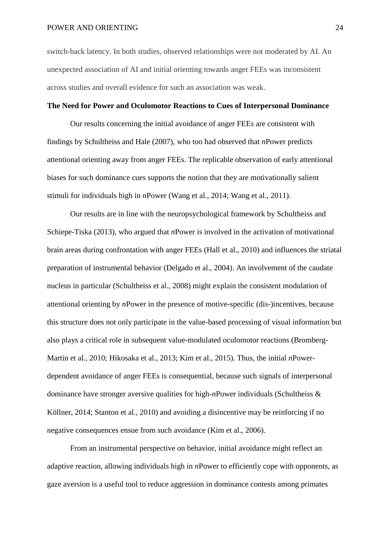switch-back latency. In both studies, observed relationships were not moderated by AI. An unexpected association of AI and initial orienting towards anger FEEs was inconsistent across studies and overall evidence for such an association was weak.

# **The Need for Power and Oculomotor Reactions to Cues of Interpersonal Dominance**

Our results concerning the initial avoidance of anger FEEs are consistent with findings by Schultheiss and Hale (2007), who too had observed that *n*Power predicts attentional orienting away from anger FEEs. The replicable observation of early attentional biases for such dominance cues supports the notion that they are motivationally salient stimuli for individuals high in *n*Power (Wang et al., 2014; Wang et al., 2011).

Our results are in line with the neuropsychological framework by Schultheiss and Schiepe-Tiska (2013), who argued that *n*Power is involved in the activation of motivational brain areas during confrontation with anger FEEs (Hall et al., 2010) and influences the striatal preparation of instrumental behavior (Delgado et al., 2004). An involvement of the caudate nucleus in particular (Schultheiss et al., 2008) might explain the consistent modulation of attentional orienting by *n*Power in the presence of motive-specific (dis-)incentives, because this structure does not only participate in the value-based processing of visual information but also plays a critical role in subsequent value-modulated oculomotor reactions (Bromberg-Martin et al., 2010; Hikosaka et al., 2013; Kim et al., 2015). Thus, the initial *n*Powerdependent avoidance of anger FEEs is consequential, because such signals of interpersonal dominance have stronger aversive qualities for high-*n*Power individuals (Schultheiss & Köllner, 2014; Stanton et al., 2010) and avoiding a disincentive may be reinforcing if no negative consequences ensue from such avoidance (Kim et al., 2006).

From an instrumental perspective on behavior, initial avoidance might reflect an adaptive reaction, allowing individuals high in *n*Power to efficiently cope with opponents, as gaze aversion is a useful tool to reduce aggression in dominance contests among primates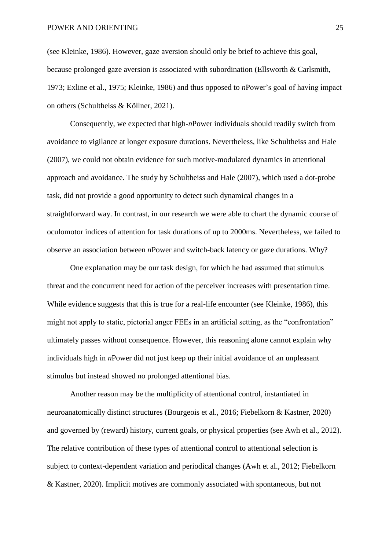(see Kleinke, 1986). However, gaze aversion should only be brief to achieve this goal, because prolonged gaze aversion is associated with subordination (Ellsworth & Carlsmith, 1973; Exline et al., 1975; Kleinke, 1986) and thus opposed to *n*Power's goal of having impact on others (Schultheiss & Köllner, 2021).

Consequently, we expected that high-*n*Power individuals should readily switch from avoidance to vigilance at longer exposure durations. Nevertheless, like Schultheiss and Hale (2007), we could not obtain evidence for such motive-modulated dynamics in attentional approach and avoidance. The study by Schultheiss and Hale (2007), which used a dot-probe task, did not provide a good opportunity to detect such dynamical changes in a straightforward way. In contrast, in our research we were able to chart the dynamic course of oculomotor indices of attention for task durations of up to 2000ms. Nevertheless, we failed to observe an association between *n*Power and switch-back latency or gaze durations. Why?

One explanation may be our task design, for which he had assumed that stimulus threat and the concurrent need for action of the perceiver increases with presentation time. While evidence suggests that this is true for a real-life encounter (see Kleinke, 1986), this might not apply to static, pictorial anger FEEs in an artificial setting, as the "confrontation" ultimately passes without consequence. However, this reasoning alone cannot explain why individuals high in *n*Power did not just keep up their initial avoidance of an unpleasant stimulus but instead showed no prolonged attentional bias.

Another reason may be the multiplicity of attentional control, instantiated in neuroanatomically distinct structures (Bourgeois et al., 2016; Fiebelkorn & Kastner, 2020) and governed by (reward) history, current goals, or physical properties (see Awh et al., 2012). The relative contribution of these types of attentional control to attentional selection is subject to context-dependent variation and periodical changes (Awh et al., 2012; Fiebelkorn & Kastner, 2020). Implicit motives are commonly associated with spontaneous, but not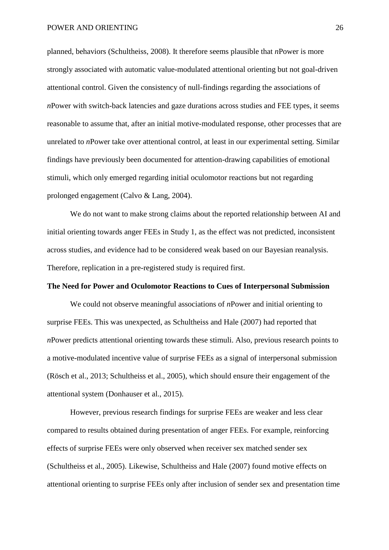planned, behaviors (Schultheiss, 2008). It therefore seems plausible that *n*Power is more strongly associated with automatic value-modulated attentional orienting but not goal-driven attentional control. Given the consistency of null-findings regarding the associations of *n*Power with switch-back latencies and gaze durations across studies and FEE types, it seems reasonable to assume that, after an initial motive-modulated response, other processes that are unrelated to *n*Power take over attentional control, at least in our experimental setting. Similar findings have previously been documented for attention-drawing capabilities of emotional stimuli, which only emerged regarding initial oculomotor reactions but not regarding prolonged engagement (Calvo & Lang, 2004).

We do not want to make strong claims about the reported relationship between AI and initial orienting towards anger FEEs in Study 1, as the effect was not predicted, inconsistent across studies, and evidence had to be considered weak based on our Bayesian reanalysis. Therefore, replication in a pre-registered study is required first.

## **The Need for Power and Oculomotor Reactions to Cues of Interpersonal Submission**

We could not observe meaningful associations of *n*Power and initial orienting to surprise FEEs. This was unexpected, as Schultheiss and Hale (2007) had reported that *n*Power predicts attentional orienting towards these stimuli. Also, previous research points to a motive-modulated incentive value of surprise FEEs as a signal of interpersonal submission (Rösch et al., 2013; Schultheiss et al., 2005), which should ensure their engagement of the attentional system (Donhauser et al., 2015).

However, previous research findings for surprise FEEs are weaker and less clear compared to results obtained during presentation of anger FEEs. For example, reinforcing effects of surprise FEEs were only observed when receiver sex matched sender sex (Schultheiss et al., 2005). Likewise, Schultheiss and Hale (2007) found motive effects on attentional orienting to surprise FEEs only after inclusion of sender sex and presentation time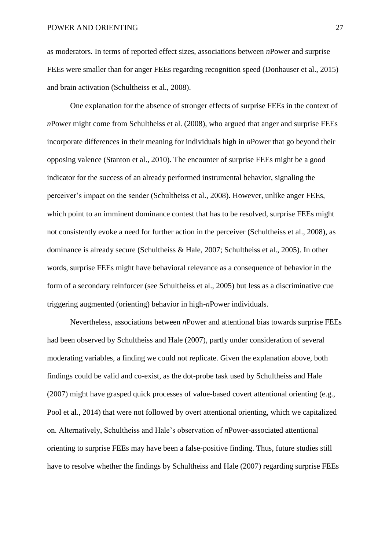as moderators. In terms of reported effect sizes, associations between *n*Power and surprise FEEs were smaller than for anger FEEs regarding recognition speed (Donhauser et al., 2015) and brain activation (Schultheiss et al., 2008).

One explanation for the absence of stronger effects of surprise FEEs in the context of *n*Power might come from Schultheiss et al. (2008), who argued that anger and surprise FEEs incorporate differences in their meaning for individuals high in *n*Power that go beyond their opposing valence (Stanton et al., 2010). The encounter of surprise FEEs might be a good indicator for the success of an already performed instrumental behavior, signaling the perceiver's impact on the sender (Schultheiss et al., 2008). However, unlike anger FEEs, which point to an imminent dominance contest that has to be resolved, surprise FEEs might not consistently evoke a need for further action in the perceiver (Schultheiss et al., 2008), as dominance is already secure (Schultheiss & Hale, 2007; Schultheiss et al., 2005). In other words, surprise FEEs might have behavioral relevance as a consequence of behavior in the form of a secondary reinforcer (see Schultheiss et al., 2005) but less as a discriminative cue triggering augmented (orienting) behavior in high-*n*Power individuals.

Nevertheless, associations between *n*Power and attentional bias towards surprise FEEs had been observed by Schultheiss and Hale (2007), partly under consideration of several moderating variables, a finding we could not replicate. Given the explanation above, both findings could be valid and co-exist, as the dot-probe task used by Schultheiss and Hale (2007) might have grasped quick processes of value-based covert attentional orienting (e.g., Pool et al., 2014) that were not followed by overt attentional orienting, which we capitalized on. Alternatively, Schultheiss and Hale's observation of *n*Power-associated attentional orienting to surprise FEEs may have been a false-positive finding. Thus, future studies still have to resolve whether the findings by Schultheiss and Hale (2007) regarding surprise FEEs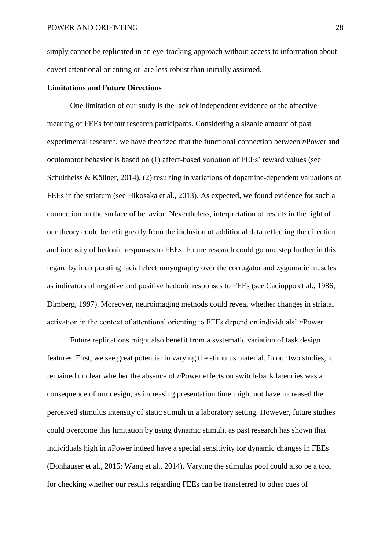simply cannot be replicated in an eye-tracking approach without access to information about covert attentional orienting or are less robust than initially assumed.

## **Limitations and Future Directions**

One limitation of our study is the lack of independent evidence of the affective meaning of FEEs for our research participants. Considering a sizable amount of past experimental research, we have theorized that the functional connection between *n*Power and oculomotor behavior is based on (1) affect-based variation of FEEs' reward values (see Schultheiss & Köllner, 2014), (2) resulting in variations of dopamine-dependent valuations of FEEs in the striatum (see Hikosaka et al., 2013). As expected, we found evidence for such a connection on the surface of behavior. Nevertheless, interpretation of results in the light of our theory could benefit greatly from the inclusion of additional data reflecting the direction and intensity of hedonic responses to FEEs. Future research could go one step further in this regard by incorporating facial electromyography over the corrugator and zygomatic muscles as indicators of negative and positive hedonic responses to FEEs (see Cacioppo et al., 1986; Dimberg, 1997). Moreover, neuroimaging methods could reveal whether changes in striatal activation in the context of attentional orienting to FEEs depend on individuals' *n*Power.

Future replications might also benefit from a systematic variation of task design features. First, we see great potential in varying the stimulus material. In our two studies, it remained unclear whether the absence of *n*Power effects on switch-back latencies was a consequence of our design, as increasing presentation time might not have increased the perceived stimulus intensity of static stimuli in a laboratory setting. However, future studies could overcome this limitation by using dynamic stimuli, as past research has shown that individuals high in *n*Power indeed have a special sensitivity for dynamic changes in FEEs (Donhauser et al., 2015; Wang et al., 2014). Varying the stimulus pool could also be a tool for checking whether our results regarding FEEs can be transferred to other cues of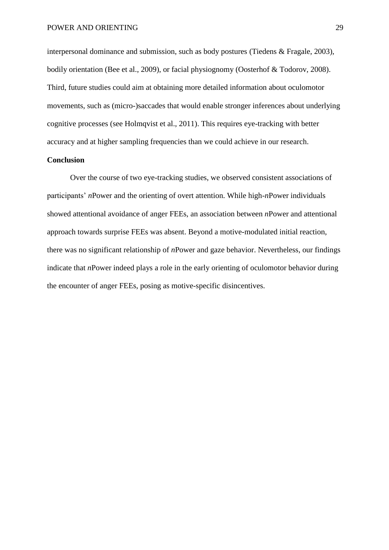interpersonal dominance and submission, such as body postures (Tiedens & Fragale, 2003), bodily orientation (Bee et al., 2009), or facial physiognomy (Oosterhof & Todorov, 2008). Third, future studies could aim at obtaining more detailed information about oculomotor movements, such as (micro-)saccades that would enable stronger inferences about underlying cognitive processes (see Holmqvist et al., 2011). This requires eye-tracking with better accuracy and at higher sampling frequencies than we could achieve in our research.

## **Conclusion**

Over the course of two eye-tracking studies, we observed consistent associations of participants' *n*Power and the orienting of overt attention. While high-*n*Power individuals showed attentional avoidance of anger FEEs, an association between *n*Power and attentional approach towards surprise FEEs was absent. Beyond a motive-modulated initial reaction, there was no significant relationship of *n*Power and gaze behavior. Nevertheless, our findings indicate that *n*Power indeed plays a role in the early orienting of oculomotor behavior during the encounter of anger FEEs, posing as motive-specific disincentives.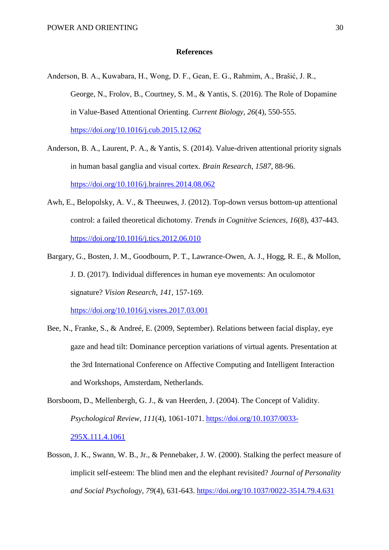## **References**

- Anderson, B. A., Kuwabara, H., Wong, D. F., Gean, E. G., Rahmim, A., Brašić, J. R., George, N., Frolov, B., Courtney, S. M., & Yantis, S. (2016). The Role of Dopamine in Value-Based Attentional Orienting. *Current Biology, 26*(4), 550-555. <https://doi.org/10.1016/j.cub.2015.12.062>
- Anderson, B. A., Laurent, P. A., & Yantis, S. (2014). Value-driven attentional priority signals in human basal ganglia and visual cortex. *Brain Research, 1587*, 88-96. <https://doi.org/10.1016/j.brainres.2014.08.062>
- Awh, E., Belopolsky, A. V., & Theeuwes, J. (2012). Top-down versus bottom-up attentional control: a failed theoretical dichotomy. *Trends in Cognitive Sciences, 16*(8), 437-443. <https://doi.org/10.1016/j.tics.2012.06.010>
- Bargary, G., Bosten, J. M., Goodbourn, P. T., Lawrance-Owen, A. J., Hogg, R. E., & Mollon, J. D. (2017). Individual differences in human eye movements: An oculomotor signature? *Vision Research, 141*, 157-169.

<https://doi.org/10.1016/j.visres.2017.03.001>

- Bee, N., Franke, S., & Andreé, E. (2009, September). Relations between facial display, eye gaze and head tilt: Dominance perception variations of virtual agents. Presentation at the 3rd International Conference on Affective Computing and Intelligent Interaction and Workshops, Amsterdam, Netherlands.
- Borsboom, D., Mellenbergh, G. J., & van Heerden, J. (2004). The Concept of Validity. *Psychological Review, 111*(4), 1061-1071. [https://doi.org/10.1037/0033-](https://doi.org/10.1037/0033-295X.111.4.1061) [295X.111.4.1061](https://doi.org/10.1037/0033-295X.111.4.1061)
- Bosson, J. K., Swann, W. B., Jr., & Pennebaker, J. W. (2000). Stalking the perfect measure of implicit self-esteem: The blind men and the elephant revisited? *Journal of Personality and Social Psychology, 79*(4), 631-643.<https://doi.org/10.1037/0022-3514.79.4.631>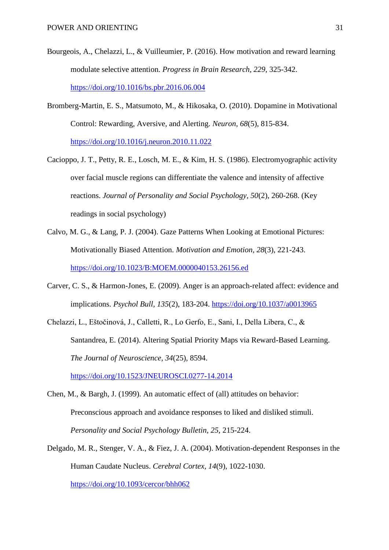- Bourgeois, A., Chelazzi, L., & Vuilleumier, P. (2016). How motivation and reward learning modulate selective attention. *Progress in Brain Research, 229*, 325-342. <https://doi.org/10.1016/bs.pbr.2016.06.004>
- Bromberg-Martin, E. S., Matsumoto, M., & Hikosaka, O. (2010). Dopamine in Motivational Control: Rewarding, Aversive, and Alerting. *Neuron, 68*(5), 815-834. <https://doi.org/10.1016/j.neuron.2010.11.022>
- Cacioppo, J. T., Petty, R. E., Losch, M. E., & Kim, H. S. (1986). Electromyographic activity over facial muscle regions can differentiate the valence and intensity of affective reactions. *Journal of Personality and Social Psychology, 50*(2), 260-268. (Key readings in social psychology)
- Calvo, M. G., & Lang, P. J. (2004). Gaze Patterns When Looking at Emotional Pictures: Motivationally Biased Attention. *Motivation and Emotion, 28*(3), 221-243. <https://doi.org/10.1023/B:MOEM.0000040153.26156.ed>
- Carver, C. S., & Harmon-Jones, E. (2009). Anger is an approach-related affect: evidence and implications. *Psychol Bull, 135*(2), 183-204.<https://doi.org/10.1037/a0013965>
- Chelazzi, L., Eštočinová, J., Calletti, R., Lo Gerfo, E., Sani, I., Della Libera, C., & Santandrea, E. (2014). Altering Spatial Priority Maps via Reward-Based Learning. *The Journal of Neuroscience, 34*(25), 8594.

<https://doi.org/10.1523/JNEUROSCI.0277-14.2014>

- Chen, M., & Bargh, J. (1999). An automatic effect of (all) attitudes on behavior: Preconscious approach and avoidance responses to liked and disliked stimuli. *Personality and Social Psychology Bulletin, 25*, 215-224.
- Delgado, M. R., Stenger, V. A., & Fiez, J. A. (2004). Motivation-dependent Responses in the Human Caudate Nucleus. *Cerebral Cortex, 14*(9), 1022-1030. <https://doi.org/10.1093/cercor/bhh062>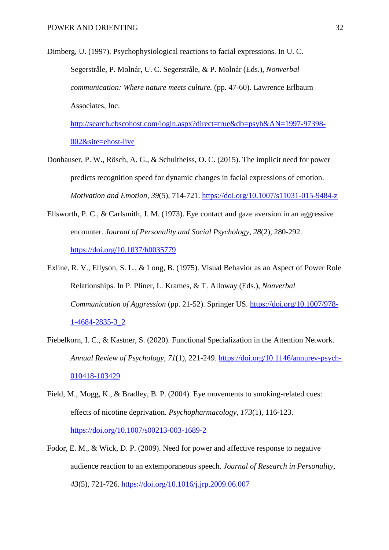Dimberg, U. (1997). Psychophysiological reactions to facial expressions. In U. C. Segerstråle, P. Molnár, U. C. Segerstråle, & P. Molnár (Eds.), *Nonverbal communication: Where nature meets culture.* (pp. 47-60). Lawrence Erlbaum Associates, Inc.

[http://search.ebscohost.com/login.aspx?direct=true&db=psyh&AN=1997-97398-](http://search.ebscohost.com/login.aspx?direct=true&db=psyh&AN=1997-97398-002&site=ehost-live) [002&site=ehost-live](http://search.ebscohost.com/login.aspx?direct=true&db=psyh&AN=1997-97398-002&site=ehost-live)

- Donhauser, P. W., Rösch, A. G., & Schultheiss, O. C. (2015). The implicit need for power predicts recognition speed for dynamic changes in facial expressions of emotion. *Motivation and Emotion, 39*(5), 714-721.<https://doi.org/10.1007/s11031-015-9484-z>
- Ellsworth, P. C., & Carlsmith, J. M. (1973). Eye contact and gaze aversion in an aggressive encounter. *Journal of Personality and Social Psychology, 28*(2), 280-292. <https://doi.org/10.1037/h0035779>
- Exline, R. V., Ellyson, S. L., & Long, B. (1975). Visual Behavior as an Aspect of Power Role Relationships. In P. Pliner, L. Krames, & T. Alloway (Eds.), *Nonverbal Communication of Aggression* (pp. 21-52). Springer US. [https://doi.org/10.1007/978-](https://doi.org/10.1007/978-1-4684-2835-3_2) [1-4684-2835-3\\_2](https://doi.org/10.1007/978-1-4684-2835-3_2)
- Fiebelkorn, I. C., & Kastner, S. (2020). Functional Specialization in the Attention Network. *Annual Review of Psychology, 71*(1), 221-249. [https://doi.org/10.1146/annurev-psych-](https://doi.org/10.1146/annurev-psych-010418-103429)[010418-103429](https://doi.org/10.1146/annurev-psych-010418-103429)
- Field, M., Mogg, K., & Bradley, B. P. (2004). Eye movements to smoking-related cues: effects of nicotine deprivation. *Psychopharmacology, 173*(1), 116-123. <https://doi.org/10.1007/s00213-003-1689-2>
- Fodor, E. M., & Wick, D. P. (2009). Need for power and affective response to negative audience reaction to an extemporaneous speech. *Journal of Research in Personality, 43*(5), 721-726.<https://doi.org/10.1016/j.jrp.2009.06.007>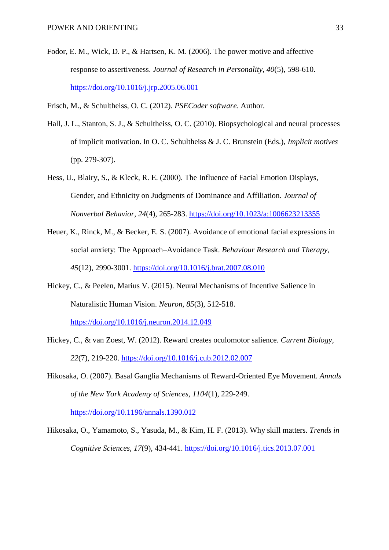- Fodor, E. M., Wick, D. P., & Hartsen, K. M. (2006). The power motive and affective response to assertiveness. *Journal of Research in Personality, 40*(5), 598-610. <https://doi.org/10.1016/j.jrp.2005.06.001>
- Frisch, M., & Schultheiss, O. C. (2012). *PSECoder software*. Author.
- Hall, J. L., Stanton, S. J., & Schultheiss, O. C. (2010). Biopsychological and neural processes of implicit motivation. In O. C. Schultheiss & J. C. Brunstein (Eds.), *Implicit motives* (pp. 279-307).
- Hess, U., Blairy, S., & Kleck, R. E. (2000). The Influence of Facial Emotion Displays, Gender, and Ethnicity on Judgments of Dominance and Affiliation. *Journal of Nonverbal Behavior, 24*(4), 265-283.<https://doi.org/10.1023/a:1006623213355>
- Heuer, K., Rinck, M., & Becker, E. S. (2007). Avoidance of emotional facial expressions in social anxiety: The Approach–Avoidance Task. *Behaviour Research and Therapy, 45*(12), 2990-3001.<https://doi.org/10.1016/j.brat.2007.08.010>
- Hickey, C., & Peelen, Marius V. (2015). Neural Mechanisms of Incentive Salience in Naturalistic Human Vision. *Neuron, 85*(3), 512-518.

<https://doi.org/10.1016/j.neuron.2014.12.049>

- Hickey, C., & van Zoest, W. (2012). Reward creates oculomotor salience. *Current Biology, 22*(7), 219-220.<https://doi.org/10.1016/j.cub.2012.02.007>
- Hikosaka, O. (2007). Basal Ganglia Mechanisms of Reward-Oriented Eye Movement. *Annals of the New York Academy of Sciences, 1104*(1), 229-249.

<https://doi.org/10.1196/annals.1390.012>

Hikosaka, O., Yamamoto, S., Yasuda, M., & Kim, H. F. (2013). Why skill matters. *Trends in Cognitive Sciences, 17*(9), 434-441.<https://doi.org/10.1016/j.tics.2013.07.001>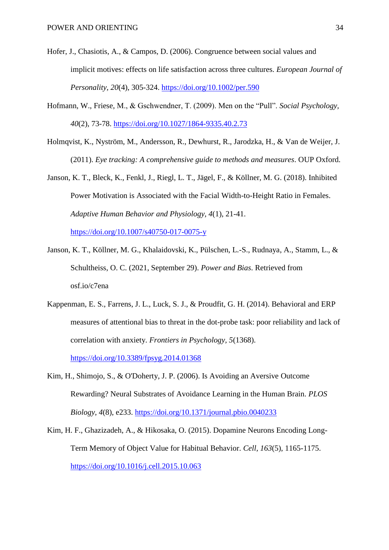- Hofer, J., Chasiotis, A., & Campos, D. (2006). Congruence between social values and implicit motives: effects on life satisfaction across three cultures. *European Journal of Personality, 20*(4), 305-324.<https://doi.org/10.1002/per.590>
- Hofmann, W., Friese, M., & Gschwendner, T. (2009). Men on the "Pull". *Social Psychology, 40*(2), 73-78.<https://doi.org/10.1027/1864-9335.40.2.73>
- Holmqvist, K., Nyström, M., Andersson, R., Dewhurst, R., Jarodzka, H., & Van de Weijer, J. (2011). *Eye tracking: A comprehensive guide to methods and measures*. OUP Oxford.
- Janson, K. T., Bleck, K., Fenkl, J., Riegl, L. T., Jägel, F., & Köllner, M. G. (2018). Inhibited Power Motivation is Associated with the Facial Width-to-Height Ratio in Females. *Adaptive Human Behavior and Physiology, 4*(1), 21-41. <https://doi.org/10.1007/s40750-017-0075-y>
- Janson, K. T., Köllner, M. G., Khalaidovski, K., Pülschen, L.-S., Rudnaya, A., Stamm, L., & Schultheiss, O. C. (2021, September 29). *Power and Bias*. Retrieved from osf.io/c7ena
- Kappenman, E. S., Farrens, J. L., Luck, S. J., & Proudfit, G. H. (2014). Behavioral and ERP measures of attentional bias to threat in the dot-probe task: poor reliability and lack of correlation with anxiety. *Frontiers in Psychology, 5*(1368). <https://doi.org/10.3389/fpsyg.2014.01368>
- Kim, H., Shimojo, S., & O'Doherty, J. P. (2006). Is Avoiding an Aversive Outcome Rewarding? Neural Substrates of Avoidance Learning in the Human Brain. *PLOS Biology, 4*(8), e233.<https://doi.org/10.1371/journal.pbio.0040233>
- Kim, H. F., Ghazizadeh, A., & Hikosaka, O. (2015). Dopamine Neurons Encoding Long-Term Memory of Object Value for Habitual Behavior. *Cell, 163*(5), 1165-1175. <https://doi.org/10.1016/j.cell.2015.10.063>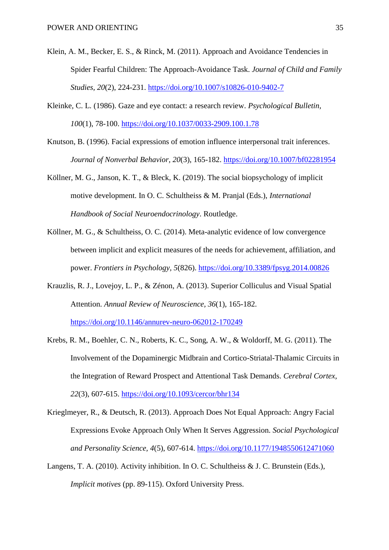- Klein, A. M., Becker, E. S., & Rinck, M. (2011). Approach and Avoidance Tendencies in Spider Fearful Children: The Approach-Avoidance Task. *Journal of Child and Family Studies, 20*(2), 224-231.<https://doi.org/10.1007/s10826-010-9402-7>
- Kleinke, C. L. (1986). Gaze and eye contact: a research review. *Psychological Bulletin, 100*(1), 78-100.<https://doi.org/10.1037/0033-2909.100.1.78>
- Knutson, B. (1996). Facial expressions of emotion influence interpersonal trait inferences. *Journal of Nonverbal Behavior, 20*(3), 165-182.<https://doi.org/10.1007/bf02281954>
- Köllner, M. G., Janson, K. T., & Bleck, K. (2019). The social biopsychology of implicit motive development. In O. C. Schultheiss & M. Pranjal (Eds.), *International Handbook of Social Neuroendocrinology*. Routledge.
- Köllner, M. G., & Schultheiss, O. C. (2014). Meta-analytic evidence of low convergence between implicit and explicit measures of the needs for achievement, affiliation, and power. *Frontiers in Psychology, 5*(826).<https://doi.org/10.3389/fpsyg.2014.00826>
- Krauzlis, R. J., Lovejoy, L. P., & Zénon, A. (2013). Superior Colliculus and Visual Spatial Attention. *Annual Review of Neuroscience, 36*(1), 165-182.

<https://doi.org/10.1146/annurev-neuro-062012-170249>

- Krebs, R. M., Boehler, C. N., Roberts, K. C., Song, A. W., & Woldorff, M. G. (2011). The Involvement of the Dopaminergic Midbrain and Cortico-Striatal-Thalamic Circuits in the Integration of Reward Prospect and Attentional Task Demands. *Cerebral Cortex, 22*(3), 607-615.<https://doi.org/10.1093/cercor/bhr134>
- Krieglmeyer, R., & Deutsch, R. (2013). Approach Does Not Equal Approach: Angry Facial Expressions Evoke Approach Only When It Serves Aggression. *Social Psychological and Personality Science, 4*(5), 607-614.<https://doi.org/10.1177/1948550612471060>
- Langens, T. A. (2010). Activity inhibition. In O. C. Schultheiss & J. C. Brunstein (Eds.), *Implicit motives* (pp. 89-115). Oxford University Press.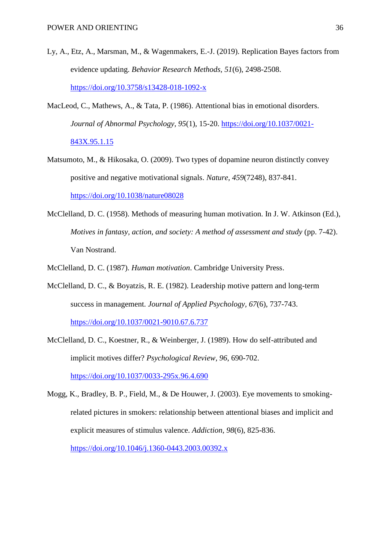- Ly, A., Etz, A., Marsman, M., & Wagenmakers, E.-J. (2019). Replication Bayes factors from evidence updating. *Behavior Research Methods, 51*(6), 2498-2508. <https://doi.org/10.3758/s13428-018-1092-x>
- MacLeod, C., Mathews, A., & Tata, P. (1986). Attentional bias in emotional disorders. *Journal of Abnormal Psychology, 95*(1), 15-20. [https://doi.org/10.1037/0021-](https://doi.org/10.1037/0021-843X.95.1.15) [843X.95.1.15](https://doi.org/10.1037/0021-843X.95.1.15)
- Matsumoto, M., & Hikosaka, O. (2009). Two types of dopamine neuron distinctly convey positive and negative motivational signals. *Nature, 459*(7248), 837-841. <https://doi.org/10.1038/nature08028>
- McClelland, D. C. (1958). Methods of measuring human motivation. In J. W. Atkinson (Ed.), *Motives in fantasy, action, and society: A method of assessment and study* (pp. 7-42). Van Nostrand.
- McClelland, D. C. (1987). *Human motivation*. Cambridge University Press.
- McClelland, D. C., & Boyatzis, R. E. (1982). Leadership motive pattern and long-term success in management. *Journal of Applied Psychology, 67*(6), 737-743. <https://doi.org/10.1037/0021-9010.67.6.737>
- McClelland, D. C., Koestner, R., & Weinberger, J. (1989). How do self-attributed and implicit motives differ? *Psychological Review, 96*, 690-702. <https://doi.org/10.1037/0033-295x.96.4.690>
- Mogg, K., Bradley, B. P., Field, M., & De Houwer, J. (2003). Eye movements to smokingrelated pictures in smokers: relationship between attentional biases and implicit and explicit measures of stimulus valence. *Addiction, 98*(6), 825-836. <https://doi.org/10.1046/j.1360-0443.2003.00392.x>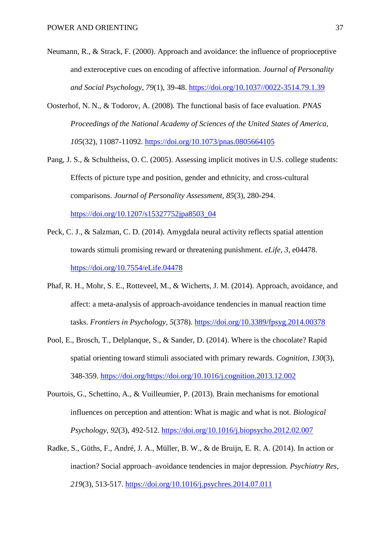- Neumann, R., & Strack, F. (2000). Approach and avoidance: the influence of proprioceptive and exteroceptive cues on encoding of affective information. *Journal of Personality and Social Psychology, 79*(1), 39-48. [https://doi.org/10.1037//0022-3514.79.1.39](https://doi.org/10.1037/0022-3514.79.1.39)
- Oosterhof, N. N., & Todorov, A. (2008). The functional basis of face evaluation. *PNAS Proceedings of the National Academy of Sciences of the United States of America, 105*(32), 11087-11092.<https://doi.org/10.1073/pnas.0805664105>
- Pang, J. S., & Schultheiss, O. C. (2005). Assessing implicit motives in U.S. college students: Effects of picture type and position, gender and ethnicity, and cross-cultural comparisons. *Journal of Personality Assessment, 85*(3), 280-294. [https://doi.org/10.1207/s15327752jpa8503\\_04](https://doi.org/10.1207/s15327752jpa8503_04)
- Peck, C. J., & Salzman, C. D. (2014). Amygdala neural activity reflects spatial attention towards stimuli promising reward or threatening punishment. *eLife, 3*, e04478. <https://doi.org/10.7554/eLife.04478>
- Phaf, R. H., Mohr, S. E., Rotteveel, M., & Wicherts, J. M. (2014). Approach, avoidance, and affect: a meta-analysis of approach-avoidance tendencies in manual reaction time tasks. *Frontiers in Psychology, 5*(378).<https://doi.org/10.3389/fpsyg.2014.00378>
- Pool, E., Brosch, T., Delplanque, S., & Sander, D. (2014). Where is the chocolate? Rapid spatial orienting toward stimuli associated with primary rewards. *Cognition, 130*(3), 348-359. [https://doi.org/https://doi.org/10.1016/j.cognition.2013.12.002](https://doi.org/https:/doi.org/10.1016/j.cognition.2013.12.002)
- Pourtois, G., Schettino, A., & Vuilleumier, P. (2013). Brain mechanisms for emotional influences on perception and attention: What is magic and what is not. *Biological Psychology, 92*(3), 492-512.<https://doi.org/10.1016/j.biopsycho.2012.02.007>
- Radke, S., Güths, F., André, J. A., Müller, B. W., & de Bruijn, E. R. A. (2014). In action or inaction? Social approach–avoidance tendencies in major depression. *Psychiatry Res, 219*(3), 513-517.<https://doi.org/10.1016/j.psychres.2014.07.011>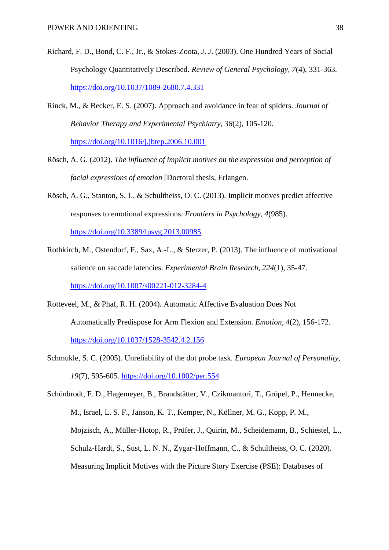- Richard, F. D., Bond, C. F., Jr., & Stokes-Zoota, J. J. (2003). One Hundred Years of Social Psychology Quantitatively Described. *Review of General Psychology, 7*(4), 331-363. <https://doi.org/10.1037/1089-2680.7.4.331>
- Rinck, M., & Becker, E. S. (2007). Approach and avoidance in fear of spiders. *Journal of Behavior Therapy and Experimental Psychiatry, 38*(2), 105-120. <https://doi.org/10.1016/j.jbtep.2006.10.001>
- Rösch, A. G. (2012). *The influence of implicit motives on the expression and perception of facial expressions of emotion* [Doctoral thesis, Erlangen.
- Rösch, A. G., Stanton, S. J., & Schultheiss, O. C. (2013). Implicit motives predict affective responses to emotional expressions. *Frontiers in Psychology, 4*(985). <https://doi.org/10.3389/fpsyg.2013.00985>
- Rothkirch, M., Ostendorf, F., Sax, A.-L., & Sterzer, P. (2013). The influence of motivational salience on saccade latencies. *Experimental Brain Research, 224*(1), 35-47. <https://doi.org/10.1007/s00221-012-3284-4>
- Rotteveel, M., & Phaf, R. H. (2004). Automatic Affective Evaluation Does Not Automatically Predispose for Arm Flexion and Extension. *Emotion, 4*(2), 156-172. <https://doi.org/10.1037/1528-3542.4.2.156>
- Schmukle, S. C. (2005). Unreliability of the dot probe task. *European Journal of Personality, 19*(7), 595-605.<https://doi.org/10.1002/per.554>
- Schönbrodt, F. D., Hagemeyer, B., Brandstätter, V., Czikmantori, T., Gröpel, P., Hennecke, M., Israel, L. S. F., Janson, K. T., Kemper, N., Köllner, M. G., Kopp, P. M., Mojzisch, A., Müller-Hotop, R., Prüfer, J., Quirin, M., Scheidemann, B., Schiestel, L., Schulz-Hardt, S., Sust, L. N. N., Zygar-Hoffmann, C., & Schultheiss, O. C. (2020). Measuring Implicit Motives with the Picture Story Exercise (PSE): Databases of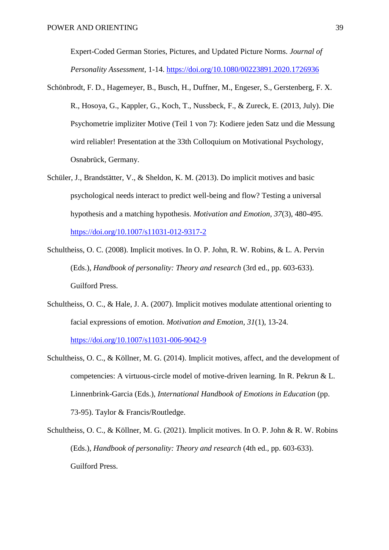Expert-Coded German Stories, Pictures, and Updated Picture Norms. *Journal of Personality Assessment*, 1-14.<https://doi.org/10.1080/00223891.2020.1726936>

- Schönbrodt, F. D., Hagemeyer, B., Busch, H., Duffner, M., Engeser, S., Gerstenberg, F. X. R., Hosoya, G., Kappler, G., Koch, T., Nussbeck, F., & Zureck, E. (2013, July). Die Psychometrie impliziter Motive (Teil 1 von 7): Kodiere jeden Satz und die Messung wird reliabler! Presentation at the 33th Colloquium on Motivational Psychology, Osnabrück, Germany.
- Schüler, J., Brandstätter, V., & Sheldon, K. M. (2013). Do implicit motives and basic psychological needs interact to predict well-being and flow? Testing a universal hypothesis and a matching hypothesis. *Motivation and Emotion, 37*(3), 480-495. <https://doi.org/10.1007/s11031-012-9317-2>
- Schultheiss, O. C. (2008). Implicit motives. In O. P. John, R. W. Robins, & L. A. Pervin (Eds.), *Handbook of personality: Theory and research* (3rd ed., pp. 603-633). Guilford Press.
- Schultheiss, O. C., & Hale, J. A. (2007). Implicit motives modulate attentional orienting to facial expressions of emotion. *Motivation and Emotion, 31*(1), 13-24. <https://doi.org/10.1007/s11031-006-9042-9>
- Schultheiss, O. C., & Köllner, M. G. (2014). Implicit motives, affect, and the development of competencies: A virtuous-circle model of motive-driven learning. In R. Pekrun & L. Linnenbrink-Garcia (Eds.), *International Handbook of Emotions in Education* (pp. 73-95). Taylor & Francis/Routledge.
- Schultheiss, O. C., & Köllner, M. G. (2021). Implicit motives. In O. P. John & R. W. Robins (Eds.), *Handbook of personality: Theory and research* (4th ed., pp. 603-633). Guilford Press.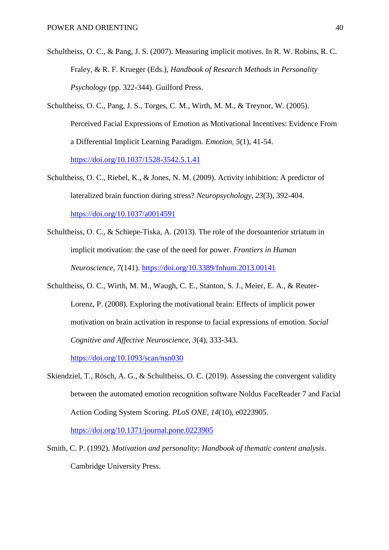- Schultheiss, O. C., & Pang, J. S. (2007). Measuring implicit motives. In R. W. Robins, R. C. Fraley, & R. F. Krueger (Eds.), *Handbook of Research Methods in Personality Psychology* (pp. 322-344). Guilford Press.
- Schultheiss, O. C., Pang, J. S., Torges, C. M., Wirth, M. M., & Treynor, W. (2005). Perceived Facial Expressions of Emotion as Motivational Incentives: Evidence From a Differential Implicit Learning Paradigm. *Emotion, 5*(1), 41-54. <https://doi.org/10.1037/1528-3542.5.1.41>
- Schultheiss, O. C., Riebel, K., & Jones, N. M. (2009). Activity inhibition: A predictor of lateralized brain function during stress? *Neuropsychology, 23*(3), 392-404. <https://doi.org/10.1037/a0014591>
- Schultheiss, O. C., & Schiepe-Tiska, A. (2013). The role of the dorsoanterior striatum in implicit motivation: the case of the need for power. *Frontiers in Human Neuroscience, 7*(141).<https://doi.org/10.3389/fnhum.2013.00141>
- Schultheiss, O. C., Wirth, M. M., Waugh, C. E., Stanton, S. J., Meier, E. A., & Reuter-Lorenz, P. (2008). Exploring the motivational brain: Effects of implicit power motivation on brain activation in response to facial expressions of emotion. *Social Cognitive and Affective Neuroscience, 3*(4), 333-343.

<https://doi.org/10.1093/scan/nsn030>

Skiendziel, T., Rösch, A. G., & Schultheiss, O. C. (2019). Assessing the convergent validity between the automated emotion recognition software Noldus FaceReader 7 and Facial Action Coding System Scoring. *PLoS ONE, 14*(10), e0223905.

<https://doi.org/10.1371/journal.pone.0223905>

Smith, C. P. (1992). *Motivation and personality: Handbook of thematic content analysis*. Cambridge University Press.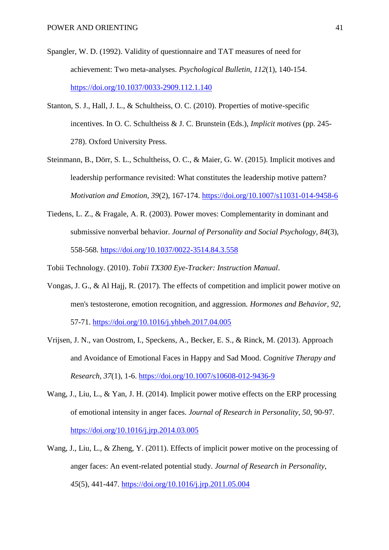- Spangler, W. D. (1992). Validity of questionnaire and TAT measures of need for achievement: Two meta-analyses. *Psychological Bulletin, 112*(1), 140-154. <https://doi.org/10.1037/0033-2909.112.1.140>
- Stanton, S. J., Hall, J. L., & Schultheiss, O. C. (2010). Properties of motive-specific incentives. In O. C. Schultheiss & J. C. Brunstein (Eds.), *Implicit motives* (pp. 245- 278). Oxford University Press.
- Steinmann, B., Dörr, S. L., Schultheiss, O. C., & Maier, G. W. (2015). Implicit motives and leadership performance revisited: What constitutes the leadership motive pattern? *Motivation and Emotion, 39*(2), 167-174.<https://doi.org/10.1007/s11031-014-9458-6>
- Tiedens, L. Z., & Fragale, A. R. (2003). Power moves: Complementarity in dominant and submissive nonverbal behavior. *Journal of Personality and Social Psychology, 84*(3), 558-568.<https://doi.org/10.1037/0022-3514.84.3.558>
- Tobii Technology. (2010). *Tobii TX300 Eye-Tracker: Instruction Manual*.
- Vongas, J. G., & Al Hajj, R. (2017). The effects of competition and implicit power motive on men's testosterone, emotion recognition, and aggression. *Hormones and Behavior, 92*, 57-71.<https://doi.org/10.1016/j.yhbeh.2017.04.005>
- Vrijsen, J. N., van Oostrom, I., Speckens, A., Becker, E. S., & Rinck, M. (2013). Approach and Avoidance of Emotional Faces in Happy and Sad Mood. *Cognitive Therapy and Research, 37*(1), 1-6.<https://doi.org/10.1007/s10608-012-9436-9>
- Wang, J., Liu, L., & Yan, J. H. (2014). Implicit power motive effects on the ERP processing of emotional intensity in anger faces. *Journal of Research in Personality, 50*, 90-97. <https://doi.org/10.1016/j.jrp.2014.03.005>
- Wang, J., Liu, L., & Zheng, Y. (2011). Effects of implicit power motive on the processing of anger faces: An event-related potential study. *Journal of Research in Personality, 45*(5), 441-447.<https://doi.org/10.1016/j.jrp.2011.05.004>